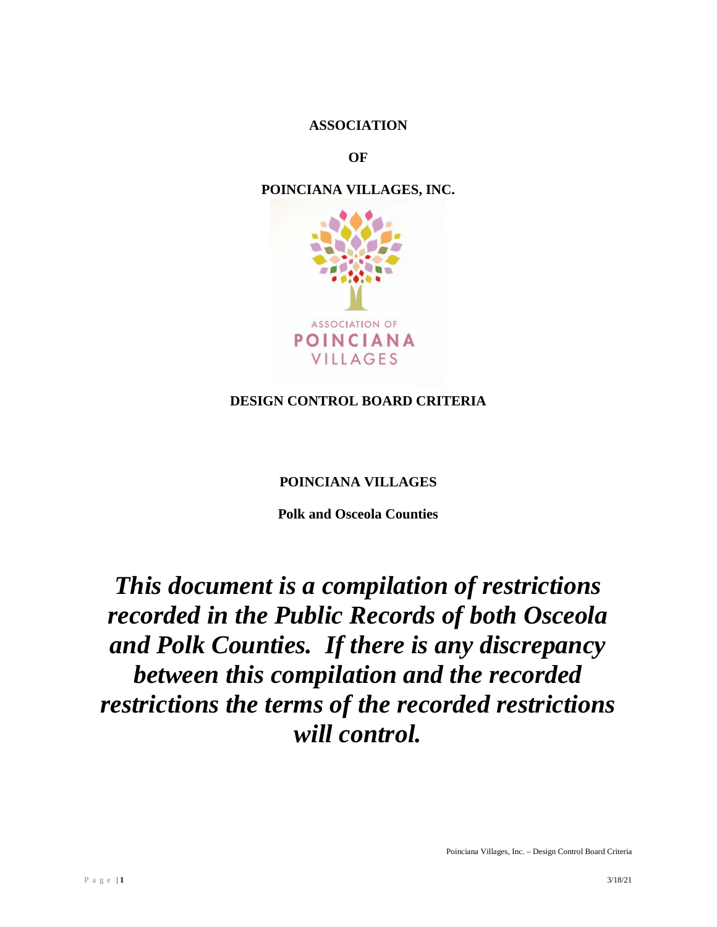#### **ASSOCIATION**

**OF**

# **POINCIANA VILLAGES, INC.**



# **DESIGN CONTROL BOARD CRITERIA**

#### **POINCIANA VILLAGES**

**Polk and Osceola Counties**

# *This document is a compilation of restrictions recorded in the Public Records of both Osceola and Polk Counties. If there is any discrepancy between this compilation and the recorded restrictions the terms of the recorded restrictions will control.*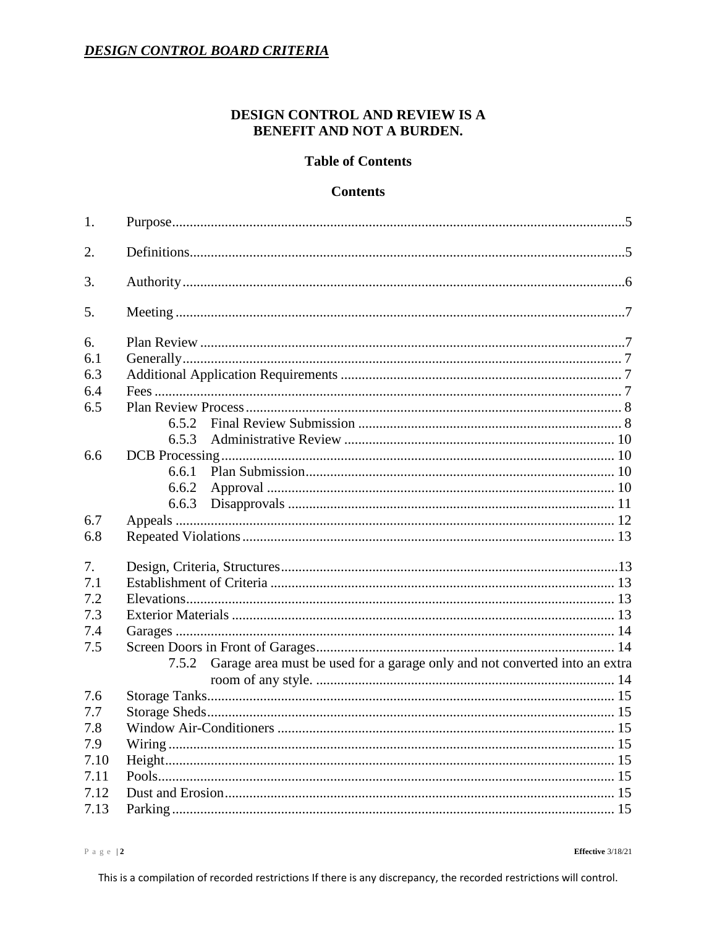# DESIGN CONTROL AND REVIEW IS A BENEFIT AND NOT A BURDEN.

#### **Table of Contents**

#### **Contents**

| 1.   |                                                                                     |  |  |  |
|------|-------------------------------------------------------------------------------------|--|--|--|
| 2.   |                                                                                     |  |  |  |
| 3.   |                                                                                     |  |  |  |
| 5.   |                                                                                     |  |  |  |
| 6.   |                                                                                     |  |  |  |
| 6.1  |                                                                                     |  |  |  |
| 6.3  |                                                                                     |  |  |  |
| 6.4  |                                                                                     |  |  |  |
| 6.5  |                                                                                     |  |  |  |
|      | 6.5.2                                                                               |  |  |  |
|      | 6.5.3                                                                               |  |  |  |
| 6.6  |                                                                                     |  |  |  |
|      | 6.6.1                                                                               |  |  |  |
|      | 6.6.2                                                                               |  |  |  |
|      | 6.6.3                                                                               |  |  |  |
| 6.7  |                                                                                     |  |  |  |
| 6.8  |                                                                                     |  |  |  |
| 7.   |                                                                                     |  |  |  |
| 7.1  |                                                                                     |  |  |  |
| 7.2  |                                                                                     |  |  |  |
| 7.3  |                                                                                     |  |  |  |
| 7.4  |                                                                                     |  |  |  |
| 7.5  |                                                                                     |  |  |  |
|      | Garage area must be used for a garage only and not converted into an extra<br>7.5.2 |  |  |  |
|      |                                                                                     |  |  |  |
| 7.6  |                                                                                     |  |  |  |
| 7.7  |                                                                                     |  |  |  |
| 7.8  |                                                                                     |  |  |  |
| 7.9  |                                                                                     |  |  |  |
| 7.10 |                                                                                     |  |  |  |
| 7.11 |                                                                                     |  |  |  |
| 7.12 |                                                                                     |  |  |  |
| 7.13 |                                                                                     |  |  |  |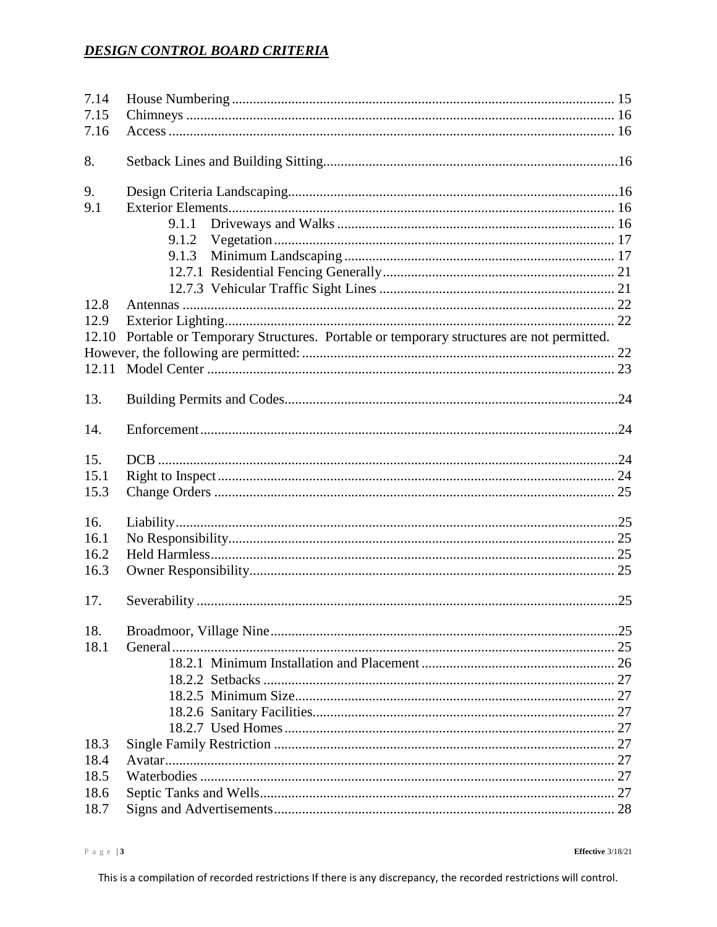| 7.14  |                                                                                       |  |  |  |  |  |
|-------|---------------------------------------------------------------------------------------|--|--|--|--|--|
| 7.15  |                                                                                       |  |  |  |  |  |
| 7.16  |                                                                                       |  |  |  |  |  |
| 8.    |                                                                                       |  |  |  |  |  |
| 9.    |                                                                                       |  |  |  |  |  |
| 9.1   |                                                                                       |  |  |  |  |  |
|       | 9.1.1                                                                                 |  |  |  |  |  |
|       | 9.1.2                                                                                 |  |  |  |  |  |
|       | 9.1.3                                                                                 |  |  |  |  |  |
|       |                                                                                       |  |  |  |  |  |
|       |                                                                                       |  |  |  |  |  |
| 12.8  |                                                                                       |  |  |  |  |  |
| 12.9  |                                                                                       |  |  |  |  |  |
| 12.10 | Portable or Temporary Structures. Portable or temporary structures are not permitted. |  |  |  |  |  |
|       |                                                                                       |  |  |  |  |  |
|       |                                                                                       |  |  |  |  |  |
| 13.   |                                                                                       |  |  |  |  |  |
|       |                                                                                       |  |  |  |  |  |
| 14.   |                                                                                       |  |  |  |  |  |
| 15.   |                                                                                       |  |  |  |  |  |
| 15.1  |                                                                                       |  |  |  |  |  |
| 15.3  |                                                                                       |  |  |  |  |  |
| 16.   |                                                                                       |  |  |  |  |  |
| 16.1  |                                                                                       |  |  |  |  |  |
| 16.2  |                                                                                       |  |  |  |  |  |
| 16.3  |                                                                                       |  |  |  |  |  |
|       |                                                                                       |  |  |  |  |  |
| 17.   |                                                                                       |  |  |  |  |  |
| 18.   |                                                                                       |  |  |  |  |  |
| 18.1  |                                                                                       |  |  |  |  |  |
|       |                                                                                       |  |  |  |  |  |
|       |                                                                                       |  |  |  |  |  |
|       |                                                                                       |  |  |  |  |  |
|       |                                                                                       |  |  |  |  |  |
|       |                                                                                       |  |  |  |  |  |
| 18.3  |                                                                                       |  |  |  |  |  |
| 18.4  |                                                                                       |  |  |  |  |  |
| 18.5  |                                                                                       |  |  |  |  |  |
| 18.6  |                                                                                       |  |  |  |  |  |
| 18.7  |                                                                                       |  |  |  |  |  |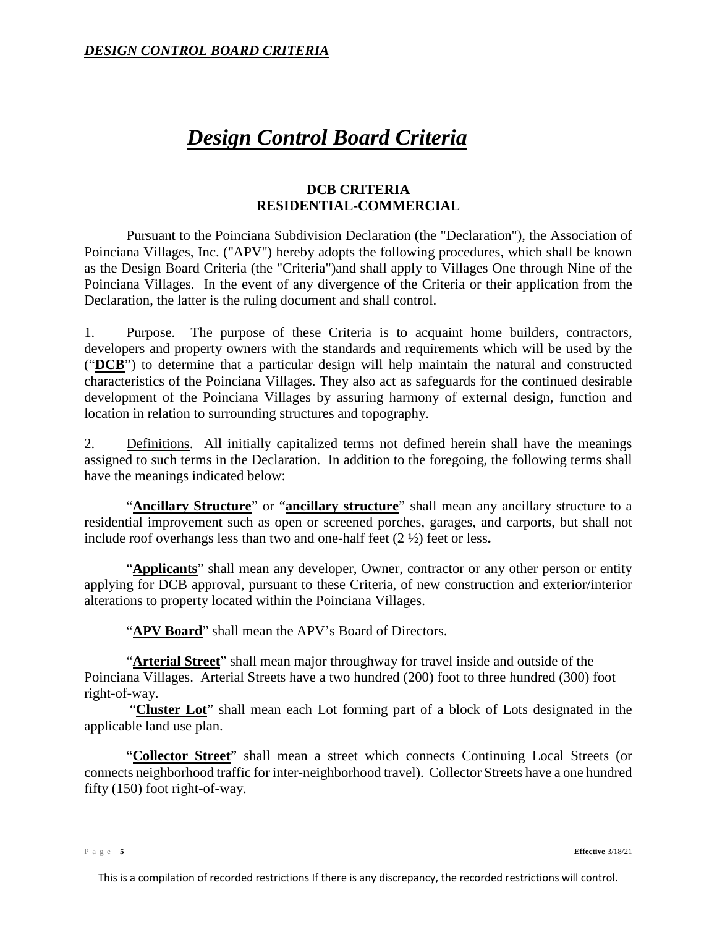# *Design Control Board Criteria*

# **DCB CRITERIA RESIDENTIAL-COMMERCIAL**

Pursuant to the Poinciana Subdivision Declaration (the "Declaration"), the Association of Poinciana Villages, Inc. ("APV") hereby adopts the following procedures, which shall be known as the Design Board Criteria (the "Criteria")and shall apply to Villages One through Nine of the Poinciana Villages. In the event of any divergence of the Criteria or their application from the Declaration, the latter is the ruling document and shall control.

<span id="page-4-0"></span>1. Purpose. The purpose of these Criteria is to acquaint home builders, contractors, developers and property owners with the standards and requirements which will be used by the ("**DCB**") to determine that a particular design will help maintain the natural and constructed characteristics of the Poinciana Villages. They also act as safeguards for the continued desirable development of the Poinciana Villages by assuring harmony of external design, function and location in relation to surrounding structures and topography.

<span id="page-4-1"></span>2. Definitions. All initially capitalized terms not defined herein shall have the meanings assigned to such terms in the Declaration. In addition to the foregoing, the following terms shall have the meanings indicated below:

"**Ancillary Structure**" or "**ancillary structure**" shall mean any ancillary structure to a residential improvement such as open or screened porches, garages, and carports, but shall not include roof overhangs less than two and one-half feet (2 ½) feet or less**.**

"**Applicants**" shall mean any developer, Owner, contractor or any other person or entity applying for DCB approval, pursuant to these Criteria, of new construction and exterior/interior alterations to property located within the Poinciana Villages.

"**APV Board**" shall mean the APV's Board of Directors.

"**Arterial Street**" shall mean major throughway for travel inside and outside of the Poinciana Villages. Arterial Streets have a two hundred (200) foot to three hundred (300) foot right-of-way.

"**Cluster Lot**" shall mean each Lot forming part of a block of Lots designated in the applicable land use plan.

"**Collector Street**" shall mean a street which connects Continuing Local Streets (or connects neighborhood traffic for inter-neighborhood travel). Collector Streets have a one hundred fifty (150) foot right-of-way.

Page | **5 Effective** 3/18/21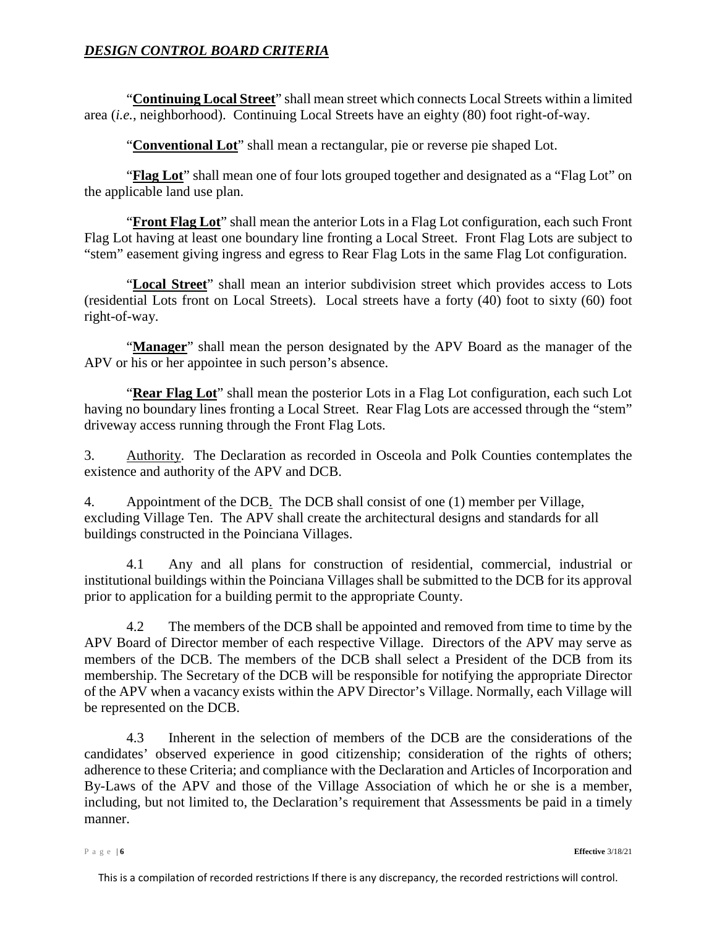"**Continuing Local Street**" shall mean street which connects Local Streets within a limited area (*i.e.*, neighborhood). Continuing Local Streets have an eighty (80) foot right-of-way.

"**Conventional Lot**" shall mean a rectangular, pie or reverse pie shaped Lot.

"**Flag Lot**" shall mean one of four lots grouped together and designated as a "Flag Lot" on the applicable land use plan.

"**Front Flag Lot**" shall mean the anterior Lots in a Flag Lot configuration, each such Front Flag Lot having at least one boundary line fronting a Local Street. Front Flag Lots are subject to "stem" easement giving ingress and egress to Rear Flag Lots in the same Flag Lot configuration.

"**Local Street**" shall mean an interior subdivision street which provides access to Lots (residential Lots front on Local Streets). Local streets have a forty (40) foot to sixty (60) foot right-of-way.

"**Manager**" shall mean the person designated by the APV Board as the manager of the APV or his or her appointee in such person's absence.

"**Rear Flag Lot**" shall mean the posterior Lots in a Flag Lot configuration, each such Lot having no boundary lines fronting a Local Street. Rear Flag Lots are accessed through the "stem" driveway access running through the Front Flag Lots.

<span id="page-5-0"></span>3. Authority. The Declaration as recorded in Osceola and Polk Counties contemplates the existence and authority of the APV and DCB.

4. Appointment of the DCB. The DCB shall consist of one (1) member per Village, excluding Village Ten. The APV shall create the architectural designs and standards for all buildings constructed in the Poinciana Villages.

4.1 Any and all plans for construction of residential, commercial, industrial or institutional buildings within the Poinciana Villages shall be submitted to the DCB for its approval prior to application for a building permit to the appropriate County.

4.2 The members of the DCB shall be appointed and removed from time to time by the APV Board of Director member of each respective Village. Directors of the APV may serve as members of the DCB. The members of the DCB shall select a President of the DCB from its membership. The Secretary of the DCB will be responsible for notifying the appropriate Director of the APV when a vacancy exists within the APV Director's Village. Normally, each Village will be represented on the DCB.

4.3 Inherent in the selection of members of the DCB are the considerations of the candidates' observed experience in good citizenship; consideration of the rights of others; adherence to these Criteria; and compliance with the Declaration and Articles of Incorporation and By-Laws of the APV and those of the Village Association of which he or she is a member, including, but not limited to, the Declaration's requirement that Assessments be paid in a timely manner.

Page | **6 Effective** 3/18/21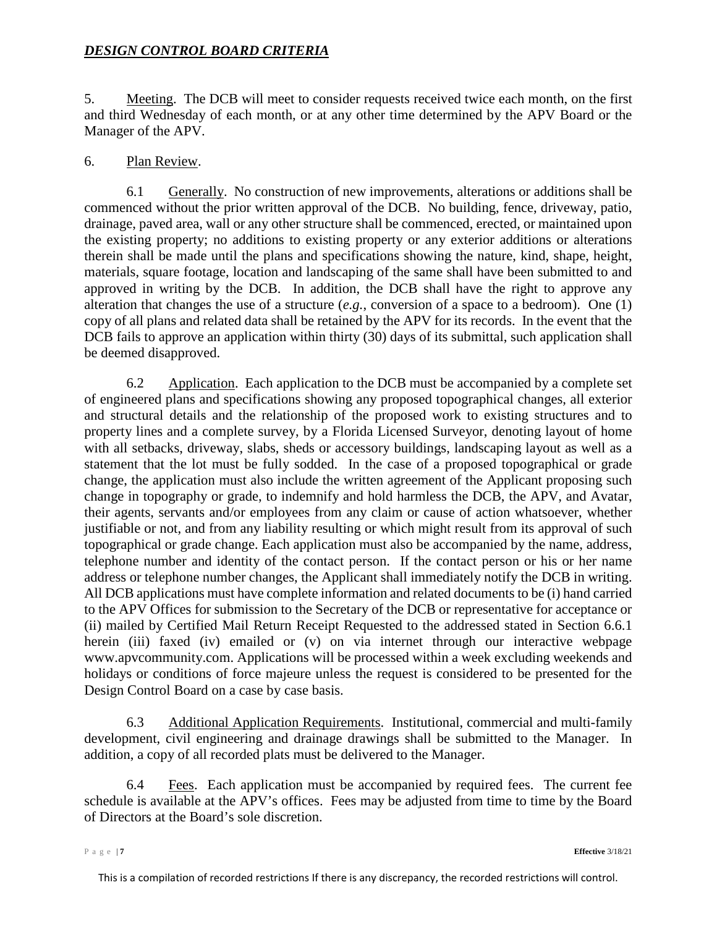<span id="page-6-0"></span>5. Meeting. The DCB will meet to consider requests received twice each month, on the first and third Wednesday of each month, or at any other time determined by the APV Board or the Manager of the APV.

#### <span id="page-6-1"></span>6. Plan Review.

<span id="page-6-2"></span>6.1 Generally. No construction of new improvements, alterations or additions shall be commenced without the prior written approval of the DCB. No building, fence, driveway, patio, drainage, paved area, wall or any other structure shall be commenced, erected, or maintained upon the existing property; no additions to existing property or any exterior additions or alterations therein shall be made until the plans and specifications showing the nature, kind, shape, height, materials, square footage, location and landscaping of the same shall have been submitted to and approved in writing by the DCB. In addition, the DCB shall have the right to approve any alteration that changes the use of a structure (*e.g.*, conversion of a space to a bedroom). One (1) copy of all plans and related data shall be retained by the APV for its records. In the event that the DCB fails to approve an application within thirty (30) days of its submittal, such application shall be deemed disapproved.

6.2 Application. Each application to the DCB must be accompanied by a complete set of engineered plans and specifications showing any proposed topographical changes, all exterior and structural details and the relationship of the proposed work to existing structures and to property lines and a complete survey, by a Florida Licensed Surveyor, denoting layout of home with all setbacks, driveway, slabs, sheds or accessory buildings, landscaping layout as well as a statement that the lot must be fully sodded. In the case of a proposed topographical or grade change, the application must also include the written agreement of the Applicant proposing such change in topography or grade, to indemnify and hold harmless the DCB, the APV, and Avatar, their agents, servants and/or employees from any claim or cause of action whatsoever, whether justifiable or not, and from any liability resulting or which might result from its approval of such topographical or grade change. Each application must also be accompanied by the name, address, telephone number and identity of the contact person. If the contact person or his or her name address or telephone number changes, the Applicant shall immediately notify the DCB in writing. All DCB applications must have complete information and related documents to be (i) hand carried to the APV Offices for submission to the Secretary of the DCB or representative for acceptance or (ii) mailed by Certified Mail Return Receipt Requested to the addressed stated in Section 6.6.1 herein (iii) faxed (iv) emailed or (v) on via internet through our interactive webpage www.apvcommunity.com. Applications will be processed within a week excluding weekends and holidays or conditions of force majeure unless the request is considered to be presented for the Design Control Board on a case by case basis.

<span id="page-6-3"></span>6.3 Additional Application Requirements. Institutional, commercial and multi-family development, civil engineering and drainage drawings shall be submitted to the Manager. In addition, a copy of all recorded plats must be delivered to the Manager.

<span id="page-6-4"></span>6.4 Fees. Each application must be accompanied by required fees. The current fee schedule is available at the APV's offices. Fees may be adjusted from time to time by the Board of Directors at the Board's sole discretion.

Page | **7 Effective** 3/18/21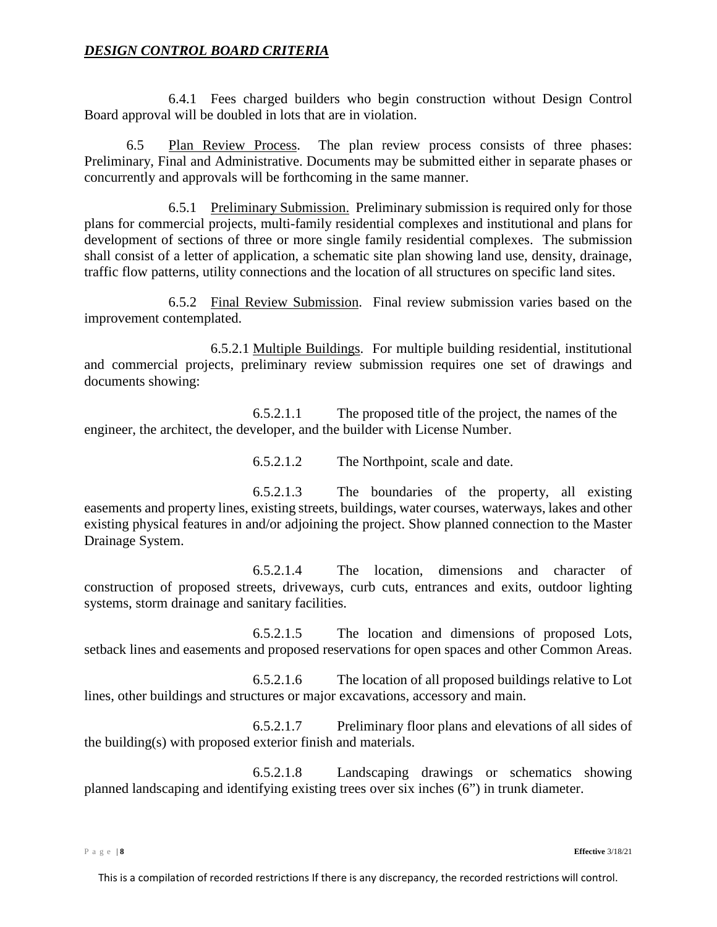6.4.1 Fees charged builders who begin construction without Design Control Board approval will be doubled in lots that are in violation.

<span id="page-7-0"></span>6.5 Plan Review Process. The plan review process consists of three phases: Preliminary, Final and Administrative. Documents may be submitted either in separate phases or concurrently and approvals will be forthcoming in the same manner.

6.5.1 Preliminary Submission. Preliminary submission is required only for those plans for commercial projects, multi-family residential complexes and institutional and plans for development of sections of three or more single family residential complexes. The submission shall consist of a letter of application, a schematic site plan showing land use, density, drainage, traffic flow patterns, utility connections and the location of all structures on specific land sites.

<span id="page-7-1"></span>6.5.2 Final Review Submission. Final review submission varies based on the improvement contemplated.

6.5.2.1 Multiple Buildings. For multiple building residential, institutional and commercial projects, preliminary review submission requires one set of drawings and documents showing:

6.5.2.1.1 The proposed title of the project, the names of the engineer, the architect, the developer, and the builder with License Number.

6.5.2.1.2 The Northpoint, scale and date.

6.5.2.1.3 The boundaries of the property, all existing easements and property lines, existing streets, buildings, water courses, waterways, lakes and other existing physical features in and/or adjoining the project. Show planned connection to the Master Drainage System.

6.5.2.1.4 The location, dimensions and character of construction of proposed streets, driveways, curb cuts, entrances and exits, outdoor lighting systems, storm drainage and sanitary facilities.

6.5.2.1.5 The location and dimensions of proposed Lots, setback lines and easements and proposed reservations for open spaces and other Common Areas.

6.5.2.1.6 The location of all proposed buildings relative to Lot lines, other buildings and structures or major excavations, accessory and main.

6.5.2.1.7 Preliminary floor plans and elevations of all sides of the building(s) with proposed exterior finish and materials.

6.5.2.1.8 Landscaping drawings or schematics showing planned landscaping and identifying existing trees over six inches (6") in trunk diameter.

Page | **8 Effective** 3/18/21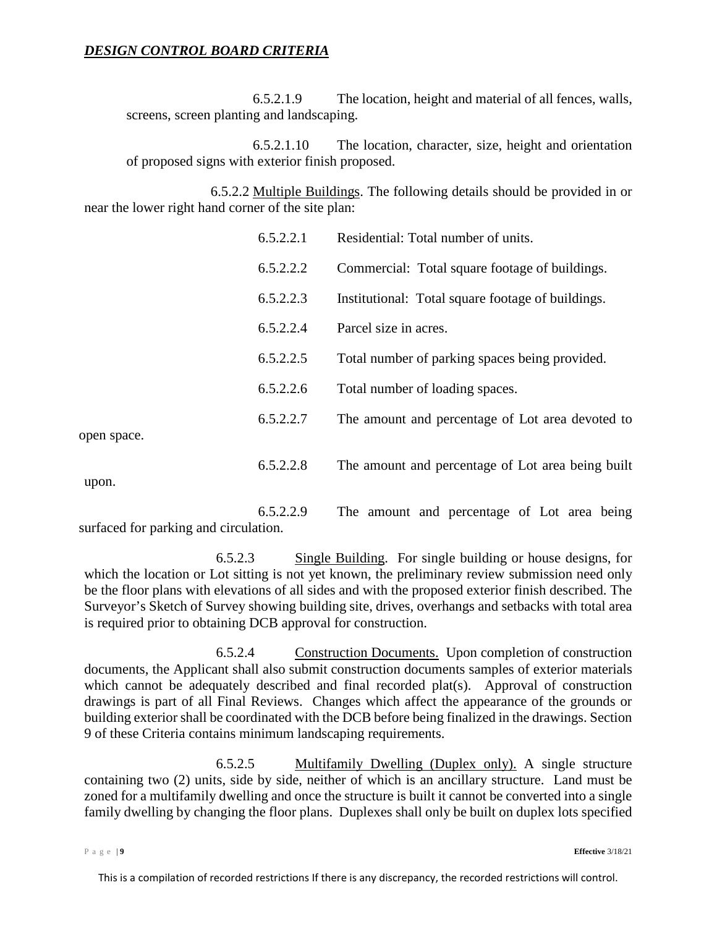6.5.2.1.9 The location, height and material of all fences, walls, screens, screen planting and landscaping.

6.5.2.1.10 The location, character, size, height and orientation of proposed signs with exterior finish proposed.

6.5.2.2 Multiple Buildings. The following details should be provided in or near the lower right hand corner of the site plan:

| 6.5.2.2.1 | Residential: Total number of units.               |
|-----------|---------------------------------------------------|
| 6.5.2.2.2 | Commercial: Total square footage of buildings.    |
| 6.5.2.2.3 | Institutional: Total square footage of buildings. |
| 6.5.2.2.4 | Parcel size in acres.                             |
| 6.5.2.2.5 | Total number of parking spaces being provided.    |
| 6.5.2.2.6 | Total number of loading spaces.                   |
| 6.5.2.2.7 | The amount and percentage of Lot area devoted to  |
| 65220     | The emount and persontage of Lot area hoing built |

open space.

6.5.2.2.8 The amount and percentage of Lot area being built

upon.

6.5.2.2.9 The amount and percentage of Lot area being surfaced for parking and circulation.

6.5.2.3 Single Building. For single building or house designs, for which the location or Lot sitting is not yet known, the preliminary review submission need only be the floor plans with elevations of all sides and with the proposed exterior finish described. The Surveyor's Sketch of Survey showing building site, drives, overhangs and setbacks with total area is required prior to obtaining DCB approval for construction.

6.5.2.4 Construction Documents. Upon completion of construction documents, the Applicant shall also submit construction documents samples of exterior materials which cannot be adequately described and final recorded plat(s). Approval of construction drawings is part of all Final Reviews. Changes which affect the appearance of the grounds or building exterior shall be coordinated with the DCB before being finalized in the drawings. Section [9](#page-15-3) of these Criteria contains minimum landscaping requirements.

6.5.2.5 Multifamily Dwelling (Duplex only). A single structure containing two (2) units, side by side, neither of which is an ancillary structure. Land must be zoned for a multifamily dwelling and once the structure is built it cannot be converted into a single family dwelling by changing the floor plans. Duplexes shall only be built on duplex lots specified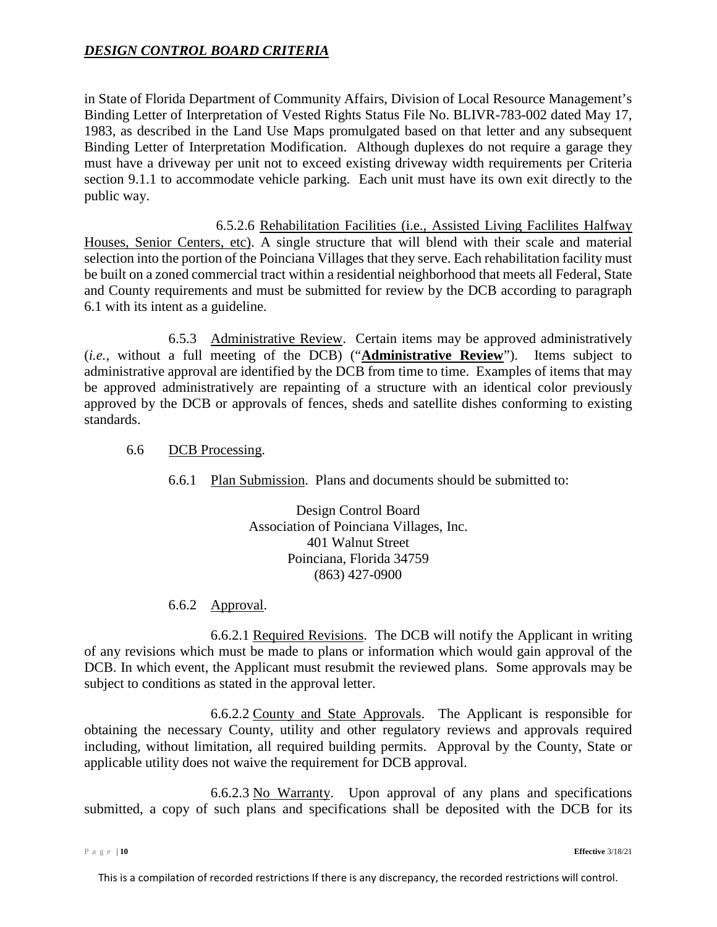in State of Florida Department of Community Affairs, Division of Local Resource Management's Binding Letter of Interpretation of Vested Rights Status File No. BLIVR-783-002 dated May 17, 1983, as described in the Land Use Maps promulgated based on that letter and any subsequent Binding Letter of Interpretation Modification. Although duplexes do not require a garage they must have a driveway per unit not to exceed existing driveway width requirements per Criteria section 9.1.1 to accommodate vehicle parking. Each unit must have its own exit directly to the public way.

6.5.2.6 Rehabilitation Facilities (i.e., Assisted Living Faclilites Halfway Houses, Senior Centers, etc). A single structure that will blend with their scale and material selection into the portion of the Poinciana Villages that they serve. Each rehabilitation facility must be built on a zoned commercial tract within a residential neighborhood that meets all Federal, State and County requirements and must be submitted for review by the DCB according to paragraph 6.1 with its intent as a guideline.

<span id="page-9-0"></span>6.5.3 Administrative Review. Certain items may be approved administratively (*i.e.*, without a full meeting of the DCB) ("**Administrative Review**"). Items subject to administrative approval are identified by the DCB from time to time. Examples of items that may be approved administratively are repainting of a structure with an identical color previously approved by the DCB or approvals of fences, sheds and satellite dishes conforming to existing standards.

- <span id="page-9-2"></span><span id="page-9-1"></span>6.6 DCB Processing.
	- 6.6.1 Plan Submission. Plans and documents should be submitted to:

Design Control Board Association of Poinciana Villages, Inc. 401 Walnut Street Poinciana, Florida 34759 (863) 427-0900

6.6.2 Approval.

<span id="page-9-3"></span>6.6.2.1 Required Revisions. The DCB will notify the Applicant in writing of any revisions which must be made to plans or information which would gain approval of the DCB. In which event, the Applicant must resubmit the reviewed plans. Some approvals may be subject to conditions as stated in the approval letter.

6.6.2.2 County and State Approvals. The Applicant is responsible for obtaining the necessary County, utility and other regulatory reviews and approvals required including, without limitation, all required building permits. Approval by the County, State or applicable utility does not waive the requirement for DCB approval.

6.6.2.3 No Warranty. Upon approval of any plans and specifications submitted, a copy of such plans and specifications shall be deposited with the DCB for its

Page | **10 Effective** 3/18/21

This is a compilation of recorded restrictions If there is any discrepancy, the recorded restrictions will control.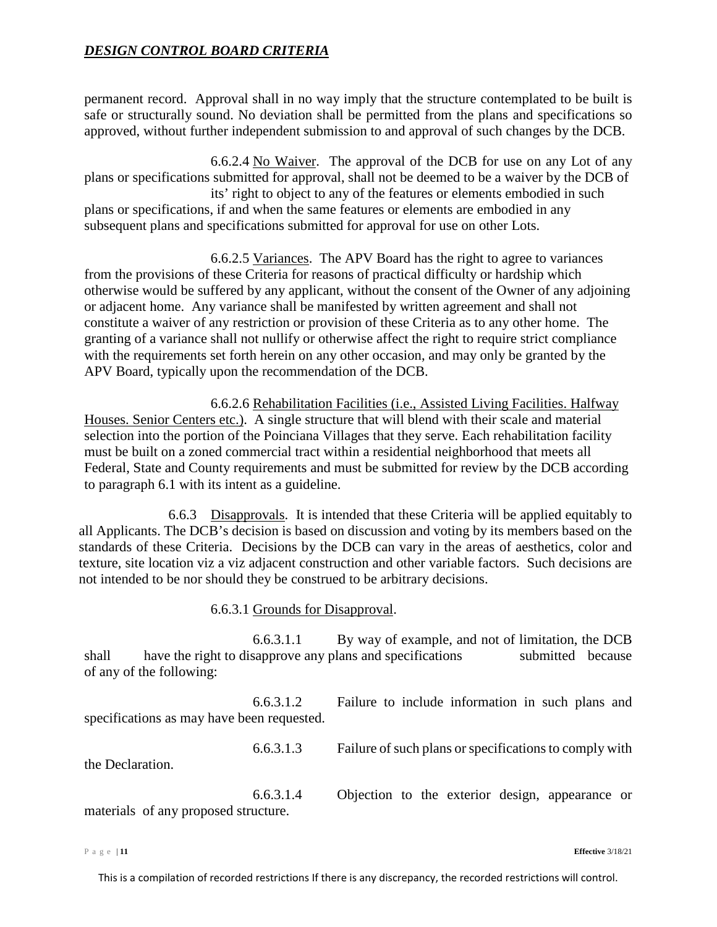permanent record. Approval shall in no way imply that the structure contemplated to be built is safe or structurally sound. No deviation shall be permitted from the plans and specifications so approved, without further independent submission to and approval of such changes by the DCB.

6.6.2.4 No Waiver. The approval of the DCB for use on any Lot of any plans or specifications submitted for approval, shall not be deemed to be a waiver by the DCB of its' right to object to any of the features or elements embodied in such plans or specifications, if and when the same features or elements are embodied in any subsequent plans and specifications submitted for approval for use on other Lots.

6.6.2.5 Variances. The APV Board has the right to agree to variances from the provisions of these Criteria for reasons of practical difficulty or hardship which otherwise would be suffered by any applicant, without the consent of the Owner of any adjoining or adjacent home. Any variance shall be manifested by written agreement and shall not constitute a waiver of any restriction or provision of these Criteria as to any other home. The granting of a variance shall not nullify or otherwise affect the right to require strict compliance with the requirements set forth herein on any other occasion, and may only be granted by the APV Board, typically upon the recommendation of the DCB.

6.6.2.6 Rehabilitation Facilities (i.e., Assisted Living Facilities. Halfway Houses. Senior Centers etc.). A single structure that will blend with their scale and material selection into the portion of the Poinciana Villages that they serve. Each rehabilitation facility must be built on a zoned commercial tract within a residential neighborhood that meets all Federal, State and County requirements and must be submitted for review by the DCB according to paragraph 6.1 with its intent as a guideline.

<span id="page-10-0"></span>6.6.3 Disapprovals. It is intended that these Criteria will be applied equitably to all Applicants. The DCB's decision is based on discussion and voting by its members based on the standards of these Criteria. Decisions by the DCB can vary in the areas of aesthetics, color and texture, site location viz a viz adjacent construction and other variable factors. Such decisions are not intended to be nor should they be construed to be arbitrary decisions.

6.6.3.1 Grounds for Disapproval.

6.6.3.1.1 By way of example, and not of limitation, the DCB shall have the right to disapprove any plans and specifications submitted because of any of the following:

6.6.3.1.2 Failure to include information in such plans and specifications as may have been requested.

6.6.3.1.3 Failure of such plans or specifications to comply with

the Declaration.

6.6.3.1.4 Objection to the exterior design, appearance or materials of any proposed structure.

Page | **11 Effective** 3/18/21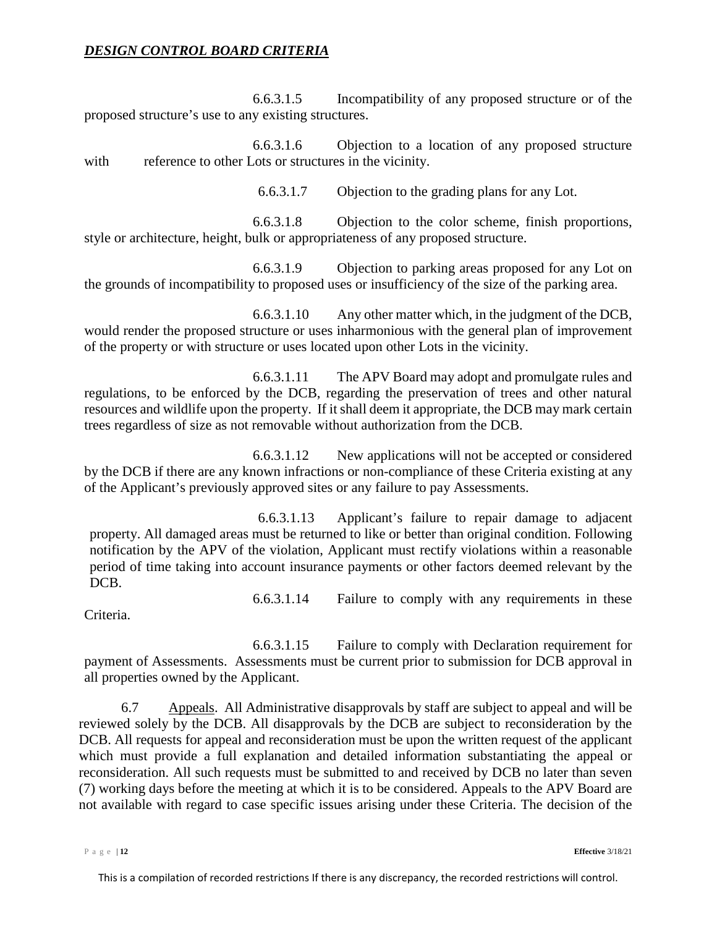6.6.3.1.5 Incompatibility of any proposed structure or of the proposed structure's use to any existing structures.

6.6.3.1.6 Objection to a location of any proposed structure with reference to other Lots or structures in the vicinity.

6.6.3.1.7 Objection to the grading plans for any Lot.

6.6.3.1.8 Objection to the color scheme, finish proportions, style or architecture, height, bulk or appropriateness of any proposed structure.

6.6.3.1.9 Objection to parking areas proposed for any Lot on the grounds of incompatibility to proposed uses or insufficiency of the size of the parking area.

6.6.3.1.10 Any other matter which, in the judgment of the DCB, would render the proposed structure or uses inharmonious with the general plan of improvement of the property or with structure or uses located upon other Lots in the vicinity.

6.6.3.1.11 The APV Board may adopt and promulgate rules and regulations, to be enforced by the DCB, regarding the preservation of trees and other natural resources and wildlife upon the property. If it shall deem it appropriate, the DCB may mark certain trees regardless of size as not removable without authorization from the DCB.

6.6.3.1.12 New applications will not be accepted or considered by the DCB if there are any known infractions or non-compliance of these Criteria existing at any of the Applicant's previously approved sites or any failure to pay Assessments.

6.6.3.1.13 Applicant's failure to repair damage to adjacent property. All damaged areas must be returned to like or better than original condition. Following notification by the APV of the violation, Applicant must rectify violations within a reasonable period of time taking into account insurance payments or other factors deemed relevant by the DCB.

6.6.3.1.14 Failure to comply with any requirements in these

Criteria.

6.6.3.1.15 Failure to comply with Declaration requirement for payment of Assessments. Assessments must be current prior to submission for DCB approval in all properties owned by the Applicant.

<span id="page-11-0"></span>6.7 Appeals. All Administrative disapprovals by staff are subject to appeal and will be reviewed solely by the DCB. All disapprovals by the DCB are subject to reconsideration by the DCB. All requests for appeal and reconsideration must be upon the written request of the applicant which must provide a full explanation and detailed information substantiating the appeal or reconsideration. All such requests must be submitted to and received by DCB no later than seven (7) working days before the meeting at which it is to be considered. Appeals to the APV Board are not available with regard to case specific issues arising under these Criteria. The decision of the

Page | **12 Effective** 3/18/21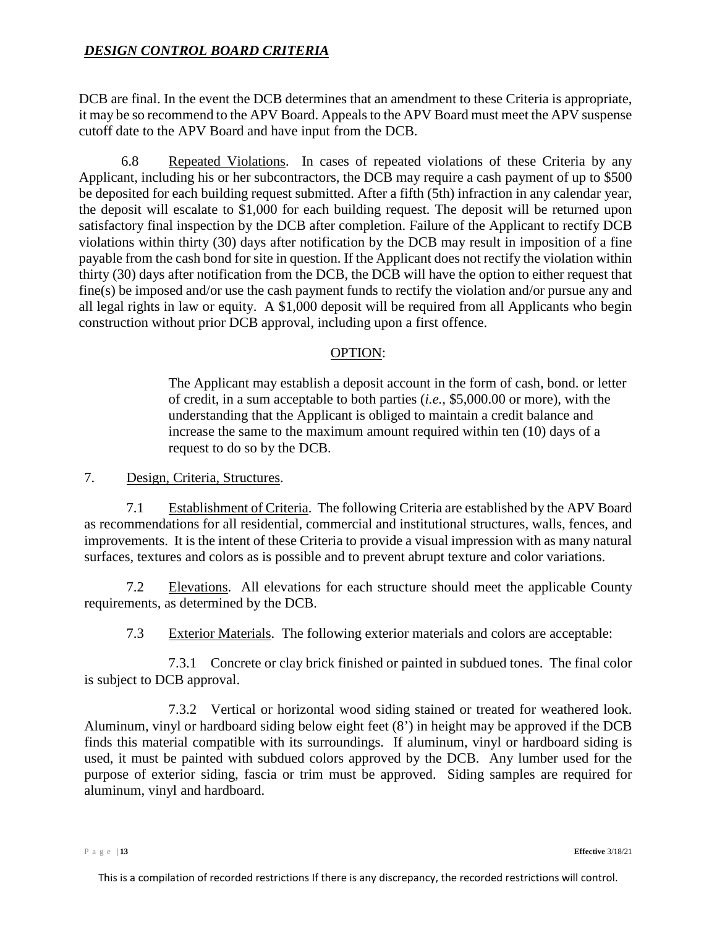DCB are final. In the event the DCB determines that an amendment to these Criteria is appropriate, it may be so recommend to the APV Board. Appeals to the APV Board must meet the APV suspense cutoff date to the APV Board and have input from the DCB.

<span id="page-12-0"></span>6.8 Repeated Violations. In cases of repeated violations of these Criteria by any Applicant, including his or her subcontractors, the DCB may require a cash payment of up to \$500 be deposited for each building request submitted. After a fifth (5th) infraction in any calendar year, the deposit will escalate to \$1,000 for each building request. The deposit will be returned upon satisfactory final inspection by the DCB after completion. Failure of the Applicant to rectify DCB violations within thirty (30) days after notification by the DCB may result in imposition of a fine payable from the cash bond for site in question. If the Applicant does not rectify the violation within thirty (30) days after notification from the DCB, the DCB will have the option to either request that fine(s) be imposed and/or use the cash payment funds to rectify the violation and/or pursue any and all legal rights in law or equity. A \$1,000 deposit will be required from all Applicants who begin construction without prior DCB approval, including upon a first offence.

# OPTION:

The Applicant may establish a deposit account in the form of cash, bond. or letter of credit, in a sum acceptable to both parties (*i.e.*, \$5,000.00 or more), with the understanding that the Applicant is obliged to maintain a credit balance and increase the same to the maximum amount required within ten (10) days of a request to do so by the DCB.

<span id="page-12-1"></span>7. Design, Criteria, Structures.

<span id="page-12-2"></span>7.1 Establishment of Criteria. The following Criteria are established by the APV Board as recommendations for all residential, commercial and institutional structures, walls, fences, and improvements. It is the intent of these Criteria to provide a visual impression with as many natural surfaces, textures and colors as is possible and to prevent abrupt texture and color variations.

<span id="page-12-3"></span>7.2 Elevations. All elevations for each structure should meet the applicable County requirements, as determined by the DCB.

7.3 Exterior Materials. The following exterior materials and colors are acceptable:

<span id="page-12-4"></span>7.3.1 Concrete or clay brick finished or painted in subdued tones. The final color is subject to DCB approval.

7.3.2 Vertical or horizontal wood siding stained or treated for weathered look. Aluminum, vinyl or hardboard siding below eight feet (8') in height may be approved if the DCB finds this material compatible with its surroundings. If aluminum, vinyl or hardboard siding is used, it must be painted with subdued colors approved by the DCB. Any lumber used for the purpose of exterior siding, fascia or trim must be approved. Siding samples are required for aluminum, vinyl and hardboard.

Page | **13 Effective** 3/18/21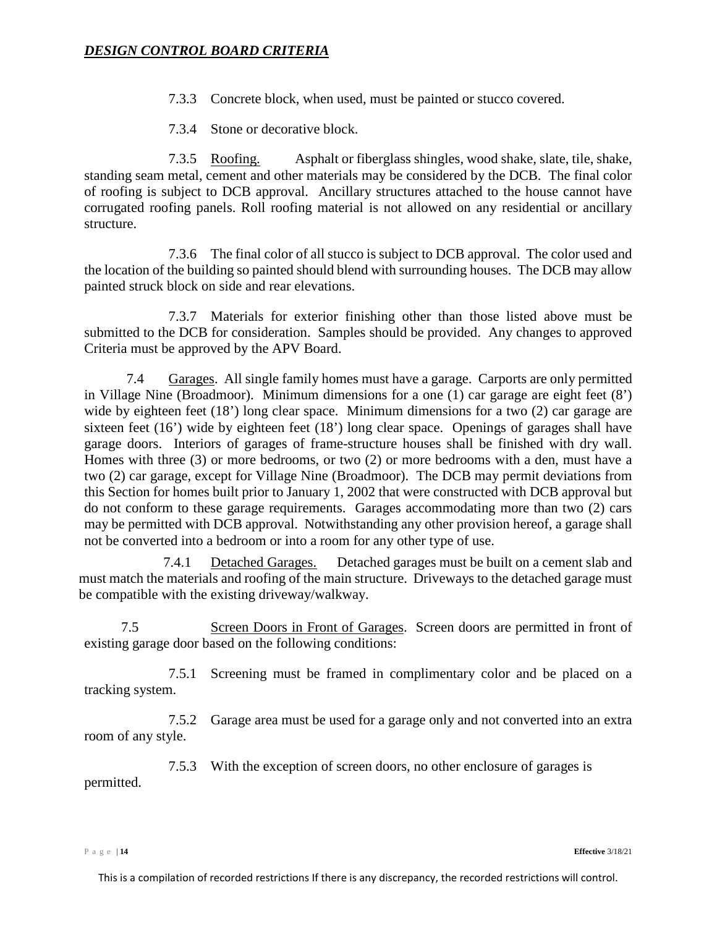- 7.3.3 Concrete block, when used, must be painted or stucco covered.
- 7.3.4 Stone or decorative block.

7.3.5 Roofing. Asphalt or fiberglass shingles, wood shake, slate, tile, shake, standing seam metal, cement and other materials may be considered by the DCB. The final color of roofing is subject to DCB approval. Ancillary structures attached to the house cannot have corrugated roofing panels. Roll roofing material is not allowed on any residential or ancillary structure.

7.3.6 The final color of all stucco is subject to DCB approval. The color used and the location of the building so painted should blend with surrounding houses. The DCB may allow painted struck block on side and rear elevations.

7.3.7 Materials for exterior finishing other than those listed above must be submitted to the DCB for consideration. Samples should be provided. Any changes to approved Criteria must be approved by the APV Board.

<span id="page-13-0"></span>7.4 Garages. All single family homes must have a garage. Carports are only permitted in Village Nine (Broadmoor). Minimum dimensions for a one (1) car garage are eight feet (8') wide by eighteen feet (18') long clear space. Minimum dimensions for a two (2) car garage are sixteen feet (16') wide by eighteen feet (18') long clear space. Openings of garages shall have garage doors. Interiors of garages of frame-structure houses shall be finished with dry wall. Homes with three (3) or more bedrooms, or two (2) or more bedrooms with a den, must have a two (2) car garage, except for Village Nine (Broadmoor). The DCB may permit deviations from this Section for homes built prior to January 1, 2002 that were constructed with DCB approval but do not conform to these garage requirements. Garages accommodating more than two (2) cars may be permitted with DCB approval. Notwithstanding any other provision hereof, a garage shall not be converted into a bedroom or into a room for any other type of use.

7.4.1 Detached Garages. Detached garages must be built on a cement slab and must match the materials and roofing of the main structure. Driveways to the detached garage must be compatible with the existing driveway/walkway.

<span id="page-13-1"></span>7.5 Screen Doors in Front of Garages. Screen doors are permitted in front of existing garage door based on the following conditions:

7.5.1 Screening must be framed in complimentary color and be placed on a tracking system.

<span id="page-13-2"></span>7.5.2 Garage area must be used for a garage only and not converted into an extra room of any style.

7.5.3 With the exception of screen doors, no other enclosure of garages is

permitted.

Page | **14 Effective** 3/18/21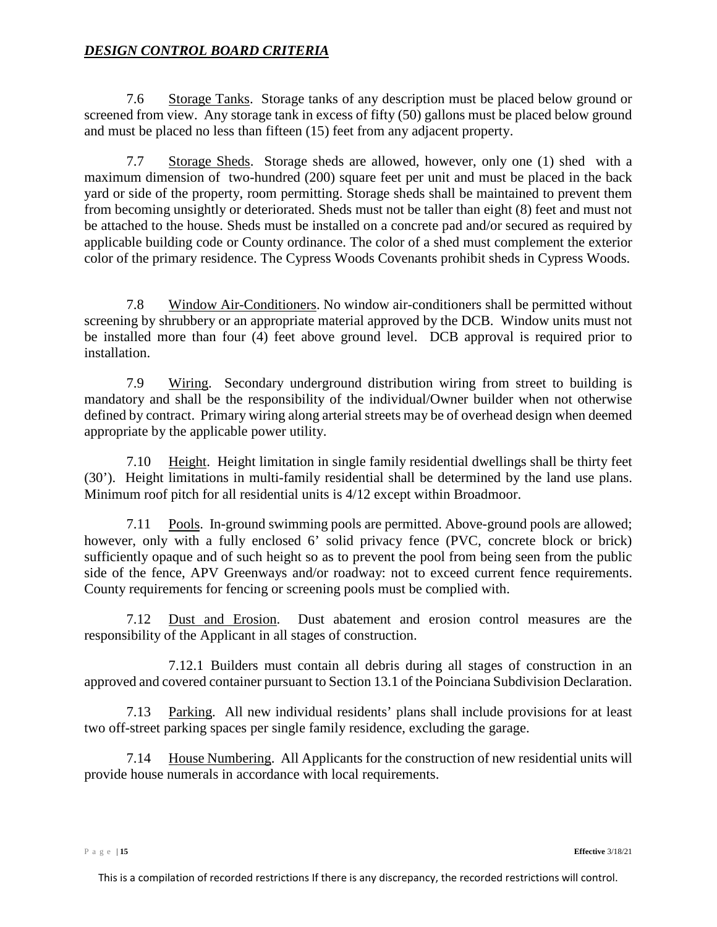<span id="page-14-0"></span>7.6 Storage Tanks. Storage tanks of any description must be placed below ground or screened from view. Any storage tank in excess of fifty (50) gallons must be placed below ground and must be placed no less than fifteen (15) feet from any adjacent property.

<span id="page-14-1"></span>7.7 Storage Sheds. Storage sheds are allowed, however, only one (1) shed with a maximum dimension of two-hundred (200) square feet per unit and must be placed in the back yard or side of the property, room permitting. Storage sheds shall be maintained to prevent them from becoming unsightly or deteriorated. Sheds must not be taller than eight (8) feet and must not be attached to the house. Sheds must be installed on a concrete pad and/or secured as required by applicable building code or County ordinance. The color of a shed must complement the exterior color of the primary residence. The Cypress Woods Covenants prohibit sheds in Cypress Woods.

<span id="page-14-2"></span>7.8 Window Air-Conditioners. No window air-conditioners shall be permitted without screening by shrubbery or an appropriate material approved by the DCB. Window units must not be installed more than four (4) feet above ground level. DCB approval is required prior to installation.

<span id="page-14-3"></span>7.9 Wiring. Secondary underground distribution wiring from street to building is mandatory and shall be the responsibility of the individual/Owner builder when not otherwise defined by contract. Primary wiring along arterial streets may be of overhead design when deemed appropriate by the applicable power utility.

<span id="page-14-4"></span>7.10 Height. Height limitation in single family residential dwellings shall be thirty feet (30'). Height limitations in multi-family residential shall be determined by the land use plans. Minimum roof pitch for all residential units is 4/12 except within Broadmoor.

<span id="page-14-5"></span>7.11 Pools. In-ground swimming pools are permitted. Above-ground pools are allowed; however, only with a fully enclosed 6' solid privacy fence (PVC, concrete block or brick) sufficiently opaque and of such height so as to prevent the pool from being seen from the public side of the fence, APV Greenways and/or roadway: not to exceed current fence requirements. County requirements for fencing or screening pools must be complied with.

<span id="page-14-6"></span>7.12 Dust and Erosion. Dust abatement and erosion control measures are the responsibility of the Applicant in all stages of construction.

7.12.1 Builders must contain all debris during all stages of construction in an approved and covered container pursuant to Section 13.1 of the Poinciana Subdivision Declaration.

<span id="page-14-7"></span>7.13 Parking. All new individual residents' plans shall include provisions for at least two off-street parking spaces per single family residence, excluding the garage.

<span id="page-14-8"></span>7.14 House Numbering. All Applicants for the construction of new residential units will provide house numerals in accordance with local requirements.

Page | **15 Effective** 3/18/21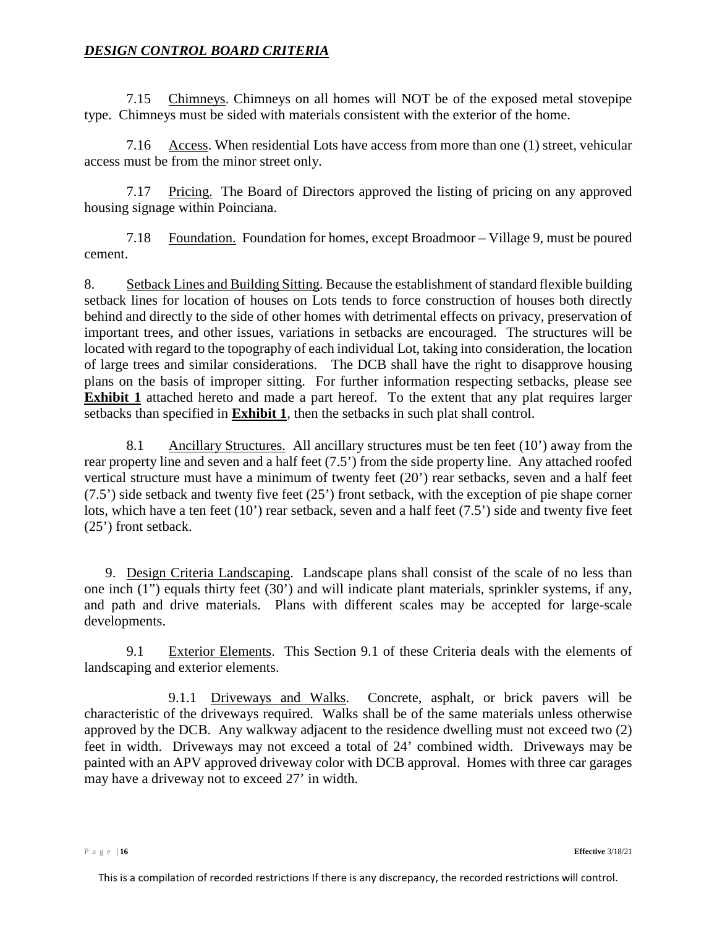<span id="page-15-0"></span>7.15 Chimneys. Chimneys on all homes will NOT be of the exposed metal stovepipe type. Chimneys must be sided with materials consistent with the exterior of the home.

<span id="page-15-1"></span>7.16 Access. When residential Lots have access from more than one (1) street, vehicular access must be from the minor street only.

7.17 Pricing. The Board of Directors approved the listing of pricing on any approved housing signage within Poinciana.

7.18 Foundation. Foundation for homes, except Broadmoor – Village 9, must be poured cement.

<span id="page-15-2"></span>8. Setback Lines and Building Sitting. Because the establishment of standard flexible building setback lines for location of houses on Lots tends to force construction of houses both directly behind and directly to the side of other homes with detrimental effects on privacy, preservation of important trees, and other issues, variations in setbacks are encouraged. The structures will be located with regard to the topography of each individual Lot, taking into consideration, the location of large trees and similar considerations. The DCB shall have the right to disapprove housing plans on the basis of improper sitting. For further information respecting setbacks, please see **Exhibit 1** attached hereto and made a part hereof. To the extent that any plat requires larger setbacks than specified in **Exhibit 1**, then the setbacks in such plat shall control.

8.1 Ancillary Structures. All ancillary structures must be ten feet (10') away from the rear property line and seven and a half feet (7.5') from the side property line. Any attached roofed vertical structure must have a minimum of twenty feet (20') rear setbacks, seven and a half feet (7.5') side setback and twenty five feet (25') front setback, with the exception of pie shape corner lots, which have a ten feet (10') rear setback, seven and a half feet (7.5') side and twenty five feet (25') front setback.

<span id="page-15-3"></span>9. Design Criteria Landscaping. Landscape plans shall consist of the scale of no less than one inch (1") equals thirty feet (30') and will indicate plant materials, sprinkler systems, if any, and path and drive materials. Plans with different scales may be accepted for large-scale developments.

<span id="page-15-4"></span>9.1 Exterior Elements. This Section [9.1](#page-15-4) of these Criteria deals with the elements of landscaping and exterior elements.

<span id="page-15-5"></span>9.1.1 Driveways and Walks. Concrete, asphalt, or brick pavers will be characteristic of the driveways required. Walks shall be of the same materials unless otherwise approved by the DCB. Any walkway adjacent to the residence dwelling must not exceed two (2) feet in width. Driveways may not exceed a total of 24' combined width. Driveways may be painted with an APV approved driveway color with DCB approval. Homes with three car garages may have a driveway not to exceed 27' in width.

Page | **16 Effective** 3/18/21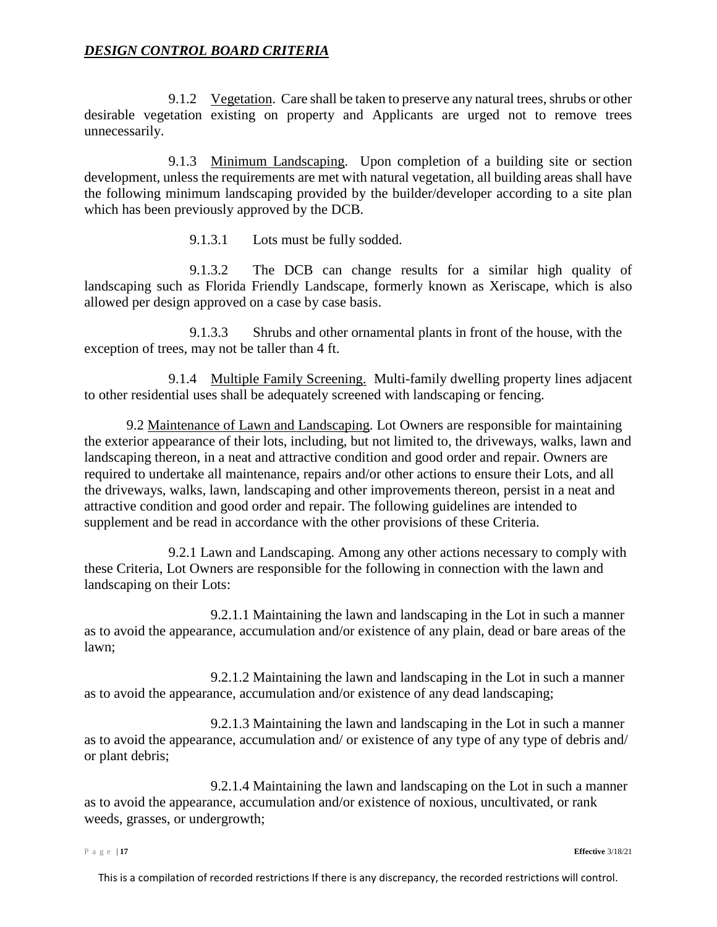<span id="page-16-0"></span>9.1.2 Vegetation. Care shall be taken to preserve any natural trees, shrubs or other desirable vegetation existing on property and Applicants are urged not to remove trees unnecessarily.

<span id="page-16-1"></span>9.1.3 Minimum Landscaping. Upon completion of a building site or section development, unless the requirements are met with natural vegetation, all building areas shall have the following minimum landscaping provided by the builder/developer according to a site plan which has been previously approved by the DCB.

9.1.3.1 Lots must be fully sodded.

9.1.3.2 The DCB can change results for a similar high quality of landscaping such as Florida Friendly Landscape, formerly known as Xeriscape, which is also allowed per design approved on a case by case basis.

 9.1.3.3 Shrubs and other ornamental plants in front of the house, with the exception of trees, may not be taller than 4 ft.

9.1.4 Multiple Family Screening. Multi-family dwelling property lines adjacent to other residential uses shall be adequately screened with landscaping or fencing.

9.2 Maintenance of Lawn and Landscaping. Lot Owners are responsible for maintaining the exterior appearance of their lots, including, but not limited to, the driveways, walks, lawn and landscaping thereon, in a neat and attractive condition and good order and repair. Owners are required to undertake all maintenance, repairs and/or other actions to ensure their Lots, and all the driveways, walks, lawn, landscaping and other improvements thereon, persist in a neat and attractive condition and good order and repair. The following guidelines are intended to supplement and be read in accordance with the other provisions of these Criteria.

9.2.1 Lawn and Landscaping. Among any other actions necessary to comply with these Criteria, Lot Owners are responsible for the following in connection with the lawn and landscaping on their Lots:

9.2.1.1 Maintaining the lawn and landscaping in the Lot in such a manner as to avoid the appearance, accumulation and/or existence of any plain, dead or bare areas of the lawn;

9.2.1.2 Maintaining the lawn and landscaping in the Lot in such a manner as to avoid the appearance, accumulation and/or existence of any dead landscaping;

9.2.1.3 Maintaining the lawn and landscaping in the Lot in such a manner as to avoid the appearance, accumulation and/ or existence of any type of any type of debris and/ or plant debris;

9.2.1.4 Maintaining the lawn and landscaping on the Lot in such a manner as to avoid the appearance, accumulation and/or existence of noxious, uncultivated, or rank weeds, grasses, or undergrowth;

Page | **17 Effective** 3/18/21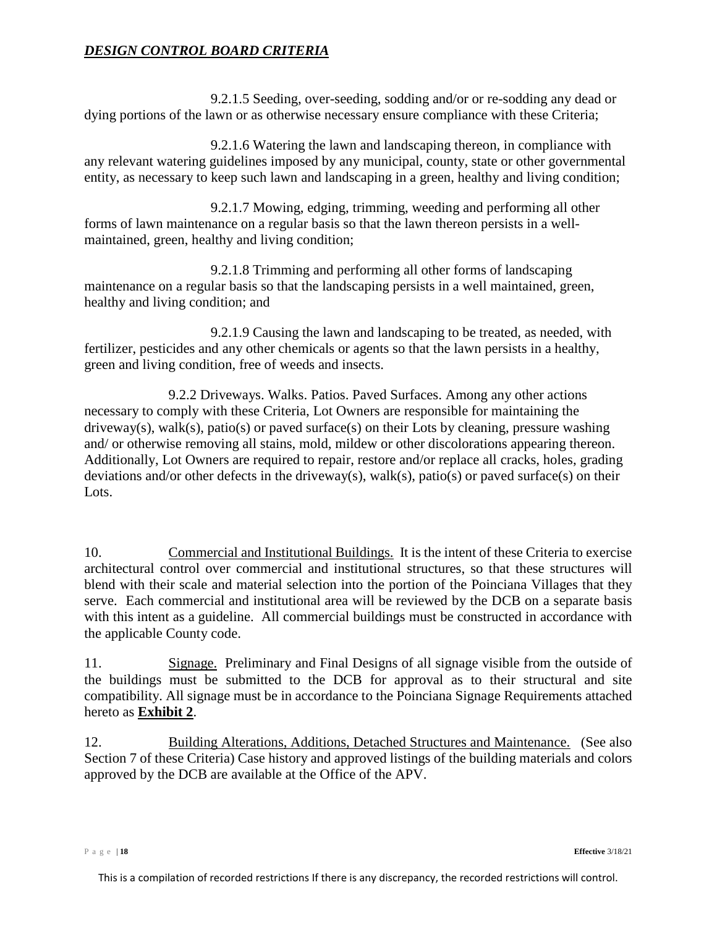9.2.1.5 Seeding, over-seeding, sodding and/or or re-sodding any dead or dying portions of the lawn or as otherwise necessary ensure compliance with these Criteria;

9.2.1.6 Watering the lawn and landscaping thereon, in compliance with any relevant watering guidelines imposed by any municipal, county, state or other governmental entity, as necessary to keep such lawn and landscaping in a green, healthy and living condition;

9.2.1.7 Mowing, edging, trimming, weeding and performing all other forms of lawn maintenance on a regular basis so that the lawn thereon persists in a wellmaintained, green, healthy and living condition;

9.2.1.8 Trimming and performing all other forms of landscaping maintenance on a regular basis so that the landscaping persists in a well maintained, green, healthy and living condition; and

9.2.1.9 Causing the lawn and landscaping to be treated, as needed, with fertilizer, pesticides and any other chemicals or agents so that the lawn persists in a healthy, green and living condition, free of weeds and insects.

9.2.2 Driveways. Walks. Patios. Paved Surfaces. Among any other actions necessary to comply with these Criteria, Lot Owners are responsible for maintaining the driveway(s), walk(s), patio(s) or paved surface(s) on their Lots by cleaning, pressure washing and/ or otherwise removing all stains, mold, mildew or other discolorations appearing thereon. Additionally, Lot Owners are required to repair, restore and/or replace all cracks, holes, grading deviations and/or other defects in the driveway(s), walk(s), patio(s) or paved surface(s) on their Lots.

10. Commercial and Institutional Buildings. It is the intent of these Criteria to exercise architectural control over commercial and institutional structures, so that these structures will blend with their scale and material selection into the portion of the Poinciana Villages that they serve. Each commercial and institutional area will be reviewed by the DCB on a separate basis with this intent as a guideline. All commercial buildings must be constructed in accordance with the applicable County code.

11. Signage. Preliminary and Final Designs of all signage visible from the outside of the buildings must be submitted to the DCB for approval as to their structural and site compatibility. All signage must be in accordance to the Poinciana Signage Requirements attached hereto as **Exhibit 2**.

12. Building Alterations, Additions, Detached Structures and Maintenance. (See also Section [7](#page-12-1) of these Criteria) Case history and approved listings of the building materials and colors approved by the DCB are available at the Office of the APV.

Page | **18 Effective** 3/18/21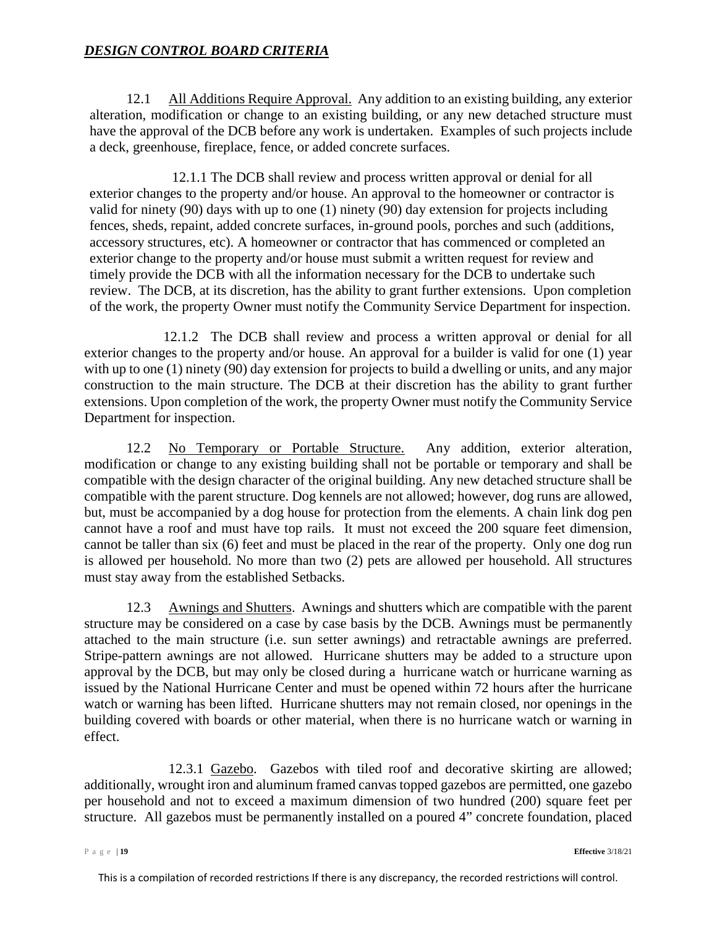12.1 All Additions Require Approval. Any addition to an existing building, any exterior alteration, modification or change to an existing building, or any new detached structure must have the approval of the DCB before any work is undertaken. Examples of such projects include a deck, greenhouse, fireplace, fence, or added concrete surfaces.

12.1.1 The DCB shall review and process written approval or denial for all exterior changes to the property and/or house. An approval to the homeowner or contractor is valid for ninety (90) days with up to one (1) ninety (90) day extension for projects including fences, sheds, repaint, added concrete surfaces, in-ground pools, porches and such (additions, accessory structures, etc). A homeowner or contractor that has commenced or completed an exterior change to the property and/or house must submit a written request for review and timely provide the DCB with all the information necessary for the DCB to undertake such review. The DCB, at its discretion, has the ability to grant further extensions. Upon completion of the work, the property Owner must notify the Community Service Department for inspection.

12.1.2 The DCB shall review and process a written approval or denial for all exterior changes to the property and/or house. An approval for a builder is valid for one (1) year with up to one (1) ninety (90) day extension for projects to build a dwelling or units, and any major construction to the main structure. The DCB at their discretion has the ability to grant further extensions. Upon completion of the work, the property Owner must notify the Community Service Department for inspection.

12.2 No Temporary or Portable Structure. Any addition, exterior alteration, modification or change to any existing building shall not be portable or temporary and shall be compatible with the design character of the original building. Any new detached structure shall be compatible with the parent structure. Dog kennels are not allowed; however, dog runs are allowed, but, must be accompanied by a dog house for protection from the elements. A chain link dog pen cannot have a roof and must have top rails. It must not exceed the 200 square feet dimension, cannot be taller than six (6) feet and must be placed in the rear of the property. Only one dog run is allowed per household. No more than two (2) pets are allowed per household. All structures must stay away from the established Setbacks.

12.3 Awnings and Shutters. Awnings and shutters which are compatible with the parent structure may be considered on a case by case basis by the DCB. Awnings must be permanently attached to the main structure (i.e. sun setter awnings) and retractable awnings are preferred. Stripe-pattern awnings are not allowed. Hurricane shutters may be added to a structure upon approval by the DCB, but may only be closed during a hurricane watch or hurricane warning as issued by the National Hurricane Center and must be opened within 72 hours after the hurricane watch or warning has been lifted. Hurricane shutters may not remain closed, nor openings in the building covered with boards or other material, when there is no hurricane watch or warning in effect.

12.3.1 Gazebo. Gazebos with tiled roof and decorative skirting are allowed; additionally, wrought iron and aluminum framed canvas topped gazebos are permitted, one gazebo per household and not to exceed a maximum dimension of two hundred (200) square feet per structure. All gazebos must be permanently installed on a poured 4" concrete foundation, placed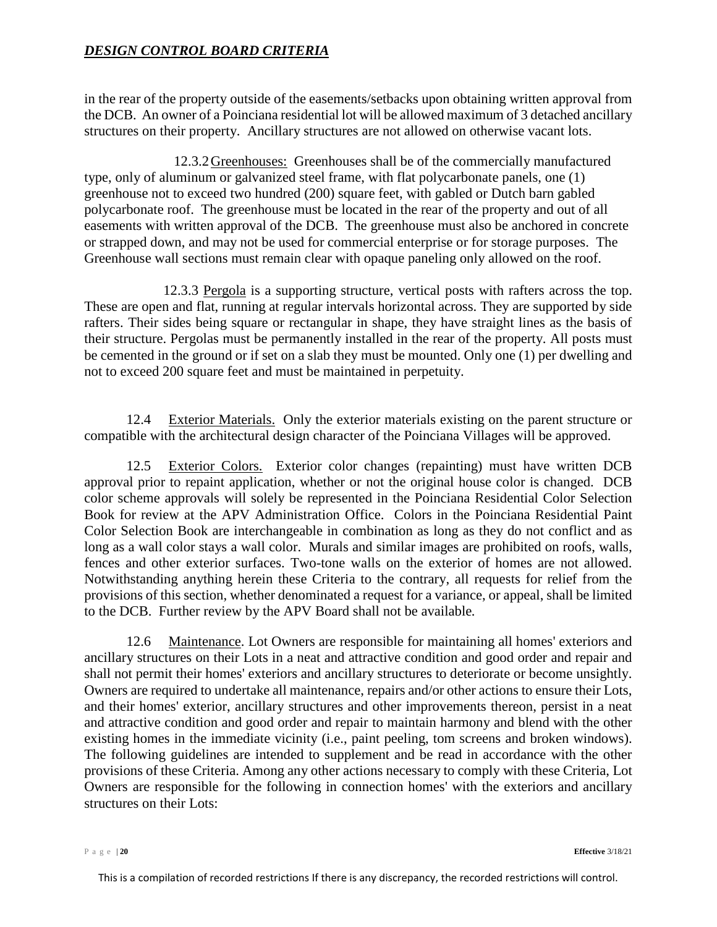in the rear of the property outside of the easements/setbacks upon obtaining written approval from the DCB. An owner of a Poinciana residential lot will be allowed maximum of 3 detached ancillary structures on their property. Ancillary structures are not allowed on otherwise vacant lots.

12.3.2Greenhouses: Greenhouses shall be of the commercially manufactured type, only of aluminum or galvanized steel frame, with flat polycarbonate panels, one (1) greenhouse not to exceed two hundred (200) square feet, with gabled or Dutch barn gabled polycarbonate roof. The greenhouse must be located in the rear of the property and out of all easements with written approval of the DCB. The greenhouse must also be anchored in concrete or strapped down, and may not be used for commercial enterprise or for storage purposes. The Greenhouse wall sections must remain clear with opaque paneling only allowed on the roof.

12.3.3 Pergola is a supporting structure, vertical posts with rafters across the top. These are open and flat, running at regular intervals horizontal across. They are supported by side rafters. Their sides being square or rectangular in shape, they have straight lines as the basis of their structure. Pergolas must be permanently installed in the rear of the property. All posts must be cemented in the ground or if set on a slab they must be mounted. Only one (1) per dwelling and not to exceed 200 square feet and must be maintained in perpetuity.

12.4 Exterior Materials. Only the exterior materials existing on the parent structure or compatible with the architectural design character of the Poinciana Villages will be approved.

12.5 Exterior Colors. Exterior color changes (repainting) must have written DCB approval prior to repaint application, whether or not the original house color is changed. DCB color scheme approvals will solely be represented in the Poinciana Residential Color Selection Book for review at the APV Administration Office. Colors in the Poinciana Residential Paint Color Selection Book are interchangeable in combination as long as they do not conflict and as long as a wall color stays a wall color. Murals and similar images are prohibited on roofs, walls, fences and other exterior surfaces. Two-tone walls on the exterior of homes are not allowed. Notwithstanding anything herein these Criteria to the contrary, all requests for relief from the provisions of this section, whether denominated a request for a variance, or appeal, shall be limited to the DCB. Further review by the APV Board shall not be available*.*

12.6 Maintenance. Lot Owners are responsible for maintaining all homes' exteriors and ancillary structures on their Lots in a neat and attractive condition and good order and repair and shall not permit their homes' exteriors and ancillary structures to deteriorate or become unsightly. Owners are required to undertake all maintenance, repairs and/or other actions to ensure their Lots, and their homes' exterior, ancillary structures and other improvements thereon, persist in a neat and attractive condition and good order and repair to maintain harmony and blend with the other existing homes in the immediate vicinity (i.e., paint peeling, tom screens and broken windows). The following guidelines are intended to supplement and be read in accordance with the other provisions of these Criteria. Among any other actions necessary to comply with these Criteria, Lot Owners are responsible for the following in connection homes' with the exteriors and ancillary structures on their Lots:

Page | **20 Effective** 3/18/21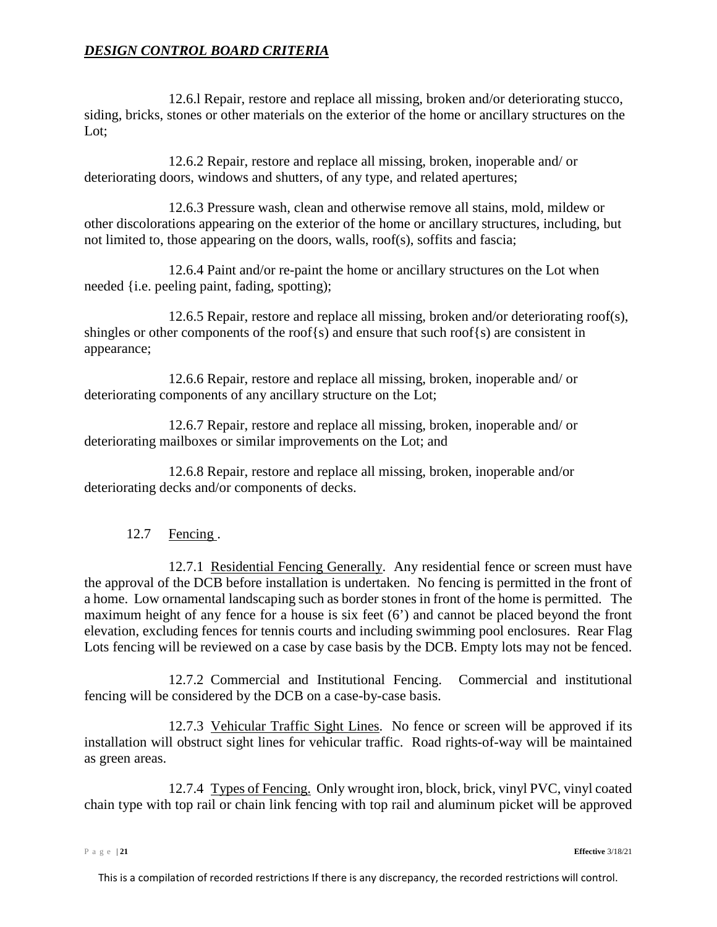12.6.l Repair, restore and replace all missing, broken and/or deteriorating stucco, siding, bricks, stones or other materials on the exterior of the home or ancillary structures on the Lot;

12.6.2 Repair, restore and replace all missing, broken, inoperable and/ or deteriorating doors, windows and shutters, of any type, and related apertures;

12.6.3 Pressure wash, clean and otherwise remove all stains, mold, mildew or other discolorations appearing on the exterior of the home or ancillary structures, including, but not limited to, those appearing on the doors, walls, roof(s), soffits and fascia;

12.6.4 Paint and/or re-paint the home or ancillary structures on the Lot when needed {i.e. peeling paint, fading, spotting);

12.6.5 Repair, restore and replace all missing, broken and/or deteriorating roof(s), shingles or other components of the roof{s) and ensure that such roof{s) are consistent in appearance;

12.6.6 Repair, restore and replace all missing, broken, inoperable and/ or deteriorating components of any ancillary structure on the Lot;

12.6.7 Repair, restore and replace all missing, broken, inoperable and/ or deteriorating mailboxes or similar improvements on the Lot; and

12.6.8 Repair, restore and replace all missing, broken, inoperable and/or deteriorating decks and/or components of decks.

# 12.7 Fencing .

<span id="page-20-0"></span>12.7.1 Residential Fencing Generally. Any residential fence or screen must have the approval of the DCB before installation is undertaken. No fencing is permitted in the front of a home. Low ornamental landscaping such as border stones in front of the home is permitted. The maximum height of any fence for a house is six feet (6') and cannot be placed beyond the front elevation, excluding fences for tennis courts and including swimming pool enclosures. Rear Flag Lots fencing will be reviewed on a case by case basis by the DCB. Empty lots may not be fenced.

12.7.2 Commercial and Institutional Fencing. Commercial and institutional fencing will be considered by the DCB on a case-by-case basis.

<span id="page-20-1"></span>12.7.3 Vehicular Traffic Sight Lines. No fence or screen will be approved if its installation will obstruct sight lines for vehicular traffic. Road rights-of-way will be maintained as green areas.

12.7.4 Types of Fencing. Only wrought iron, block, brick, vinyl PVC, vinyl coated chain type with top rail or chain link fencing with top rail and aluminum picket will be approved

Page | **21 Effective** 3/18/21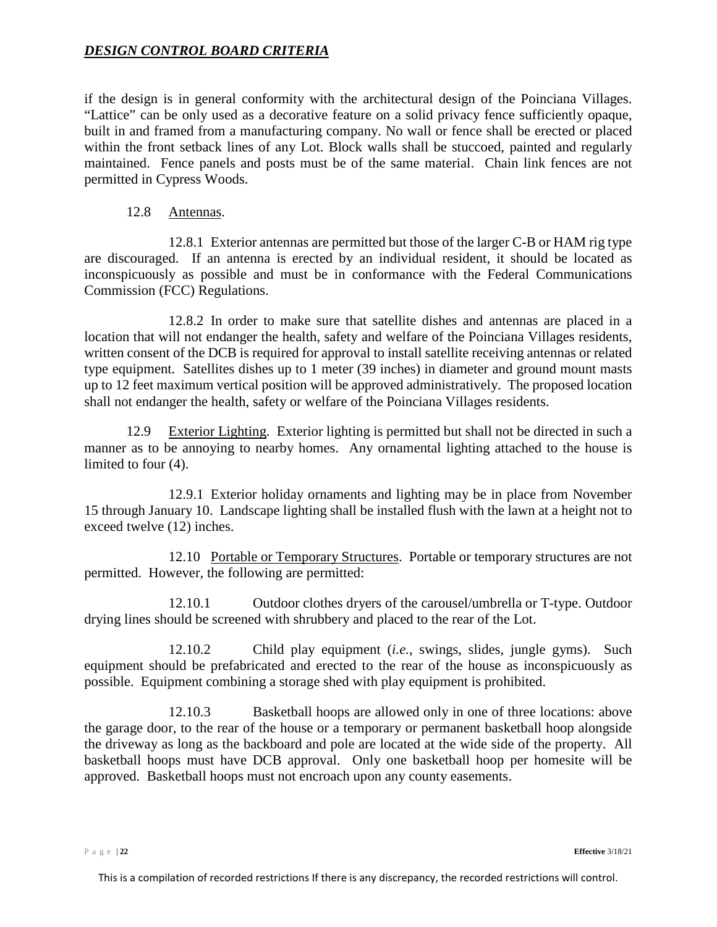if the design is in general conformity with the architectural design of the Poinciana Villages. "Lattice" can be only used as a decorative feature on a solid privacy fence sufficiently opaque, built in and framed from a manufacturing company. No wall or fence shall be erected or placed within the front setback lines of any Lot. Block walls shall be stuccoed, painted and regularly maintained. Fence panels and posts must be of the same material. Chain link fences are not permitted in Cypress Woods.

#### 12.8 Antennas.

<span id="page-21-0"></span>12.8.1 Exterior antennas are permitted but those of the larger C-B or HAM rig type are discouraged. If an antenna is erected by an individual resident, it should be located as inconspicuously as possible and must be in conformance with the Federal Communications Commission (FCC) Regulations.

12.8.2 In order to make sure that satellite dishes and antennas are placed in a location that will not endanger the health, safety and welfare of the Poinciana Villages residents, written consent of the DCB is required for approval to install satellite receiving antennas or related type equipment. Satellites dishes up to 1 meter (39 inches) in diameter and ground mount masts up to 12 feet maximum vertical position will be approved administratively. The proposed location shall not endanger the health, safety or welfare of the Poinciana Villages residents.

<span id="page-21-1"></span>12.9 Exterior Lighting. Exterior lighting is permitted but shall not be directed in such a manner as to be annoying to nearby homes. Any ornamental lighting attached to the house is limited to four (4).

12.9.1 Exterior holiday ornaments and lighting may be in place from November 15 through January 10. Landscape lighting shall be installed flush with the lawn at a height not to exceed twelve (12) inches.

<span id="page-21-2"></span>12.10 Portable or Temporary Structures. Portable or temporary structures are not permitted. However, the following are permitted:

12.10.1 Outdoor clothes dryers of the carousel/umbrella or T-type. Outdoor drying lines should be screened with shrubbery and placed to the rear of the Lot.

12.10.2 Child play equipment (*i.e.*, swings, slides, jungle gyms). Such equipment should be prefabricated and erected to the rear of the house as inconspicuously as possible. Equipment combining a storage shed with play equipment is prohibited.

12.10.3 Basketball hoops are allowed only in one of three locations: above the garage door, to the rear of the house or a temporary or permanent basketball hoop alongside the driveway as long as the backboard and pole are located at the wide side of the property. All basketball hoops must have DCB approval. Only one basketball hoop per homesite will be approved. Basketball hoops must not encroach upon any county easements.

Page | **22 Effective** 3/18/21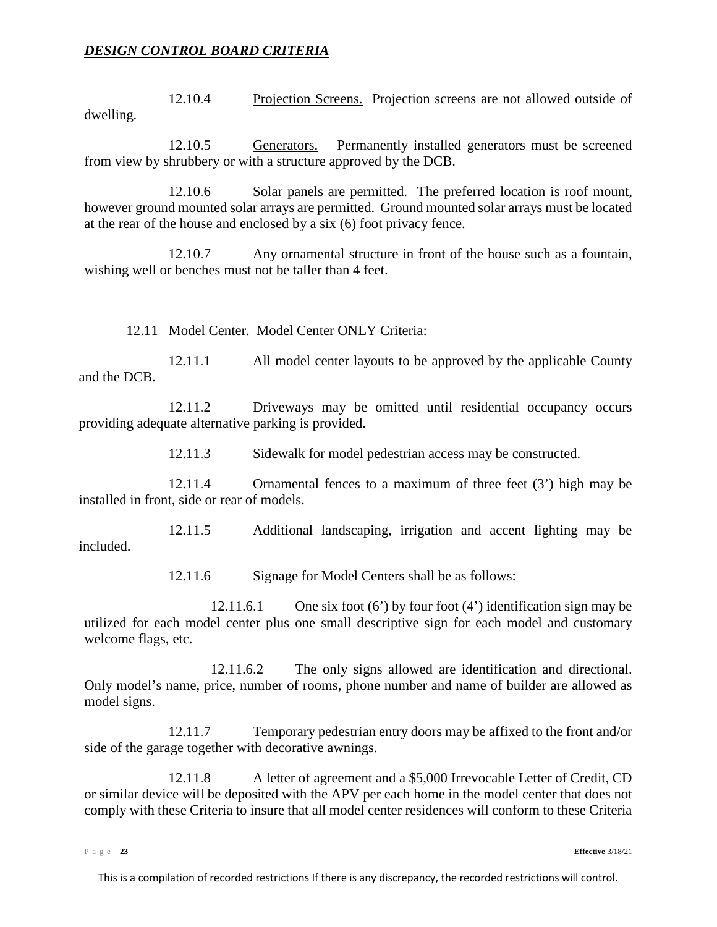12.10.4 Projection Screens. Projection screens are not allowed outside of dwelling.

12.10.5 Generators. Permanently installed generators must be screened from view by shrubbery or with a structure approved by the DCB.

12.10.6 Solar panels are permitted. The preferred location is roof mount, however ground mounted solar arrays are permitted. Ground mounted solar arrays must be located at the rear of the house and enclosed by a six (6) foot privacy fence.

12.10.7 Any ornamental structure in front of the house such as a fountain, wishing well or benches must not be taller than 4 feet.

12.11 Model Center. Model Center ONLY Criteria:

<span id="page-22-0"></span>12.11.1 All model center layouts to be approved by the applicable County and the DCB.

12.11.2 Driveways may be omitted until residential occupancy occurs providing adequate alternative parking is provided.

12.11.3 Sidewalk for model pedestrian access may be constructed.

12.11.4 Ornamental fences to a maximum of three feet (3') high may be installed in front, side or rear of models.

12.11.5 Additional landscaping, irrigation and accent lighting may be included.

12.11.6 Signage for Model Centers shall be as follows:

12.11.6.1 One six foot (6') by four foot (4') identification sign may be utilized for each model center plus one small descriptive sign for each model and customary welcome flags, etc.

12.11.6.2 The only signs allowed are identification and directional. Only model's name, price, number of rooms, phone number and name of builder are allowed as model signs.

12.11.7 Temporary pedestrian entry doors may be affixed to the front and/or side of the garage together with decorative awnings.

12.11.8 A letter of agreement and a \$5,000 Irrevocable Letter of Credit, CD or similar device will be deposited with the APV per each home in the model center that does not comply with these Criteria to insure that all model center residences will conform to these Criteria

Page | **23 Effective** 3/18/21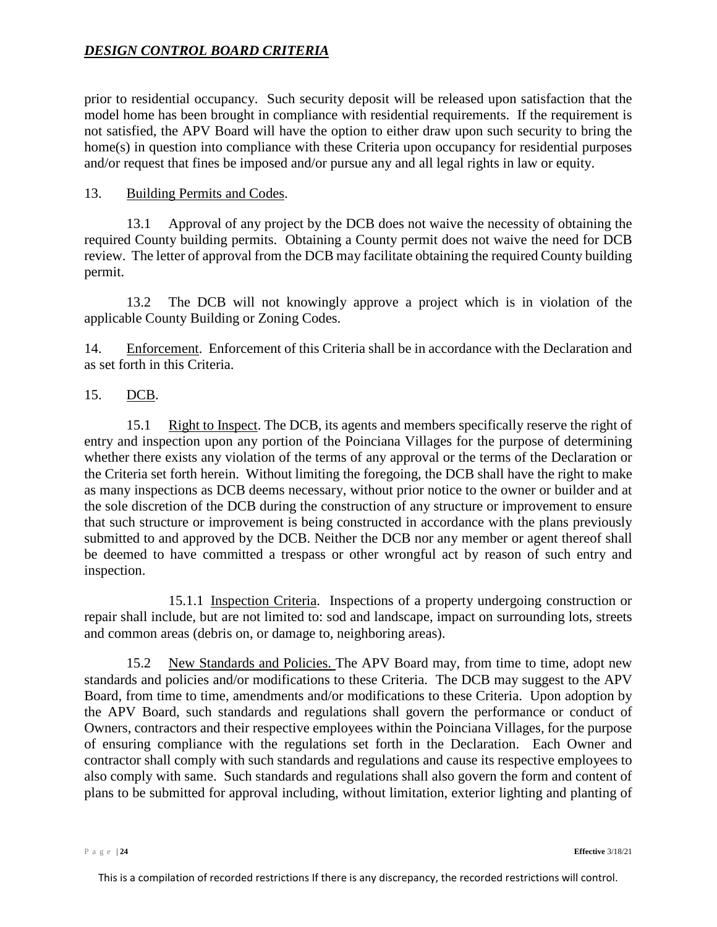prior to residential occupancy. Such security deposit will be released upon satisfaction that the model home has been brought in compliance with residential requirements. If the requirement is not satisfied, the APV Board will have the option to either draw upon such security to bring the home(s) in question into compliance with these Criteria upon occupancy for residential purposes and/or request that fines be imposed and/or pursue any and all legal rights in law or equity.

#### <span id="page-23-0"></span>13. Building Permits and Codes.

13.1 Approval of any project by the DCB does not waive the necessity of obtaining the required County building permits. Obtaining a County permit does not waive the need for DCB review. The letter of approval from the DCB may facilitate obtaining the required County building permit.

13.2 The DCB will not knowingly approve a project which is in violation of the applicable County Building or Zoning Codes.

<span id="page-23-1"></span>14. Enforcement. Enforcement of this Criteria shall be in accordance with the Declaration and as set forth in this Criteria.

#### <span id="page-23-2"></span>15. DCB.

<span id="page-23-3"></span>15.1 Right to Inspect. The DCB, its agents and members specifically reserve the right of entry and inspection upon any portion of the Poinciana Villages for the purpose of determining whether there exists any violation of the terms of any approval or the terms of the Declaration or the Criteria set forth herein. Without limiting the foregoing, the DCB shall have the right to make as many inspections as DCB deems necessary, without prior notice to the owner or builder and at the sole discretion of the DCB during the construction of any structure or improvement to ensure that such structure or improvement is being constructed in accordance with the plans previously submitted to and approved by the DCB. Neither the DCB nor any member or agent thereof shall be deemed to have committed a trespass or other wrongful act by reason of such entry and inspection.

15.1.1 Inspection Criteria. Inspections of a property undergoing construction or repair shall include, but are not limited to: sod and landscape, impact on surrounding lots, streets and common areas (debris on, or damage to, neighboring areas).

15.2 New Standards and Policies. The APV Board may, from time to time, adopt new standards and policies and/or modifications to these Criteria. The DCB may suggest to the APV Board, from time to time, amendments and/or modifications to these Criteria. Upon adoption by the APV Board, such standards and regulations shall govern the performance or conduct of Owners, contractors and their respective employees within the Poinciana Villages, for the purpose of ensuring compliance with the regulations set forth in the Declaration. Each Owner and contractor shall comply with such standards and regulations and cause its respective employees to also comply with same. Such standards and regulations shall also govern the form and content of plans to be submitted for approval including, without limitation, exterior lighting and planting of

Page | **24 Effective** 3/18/21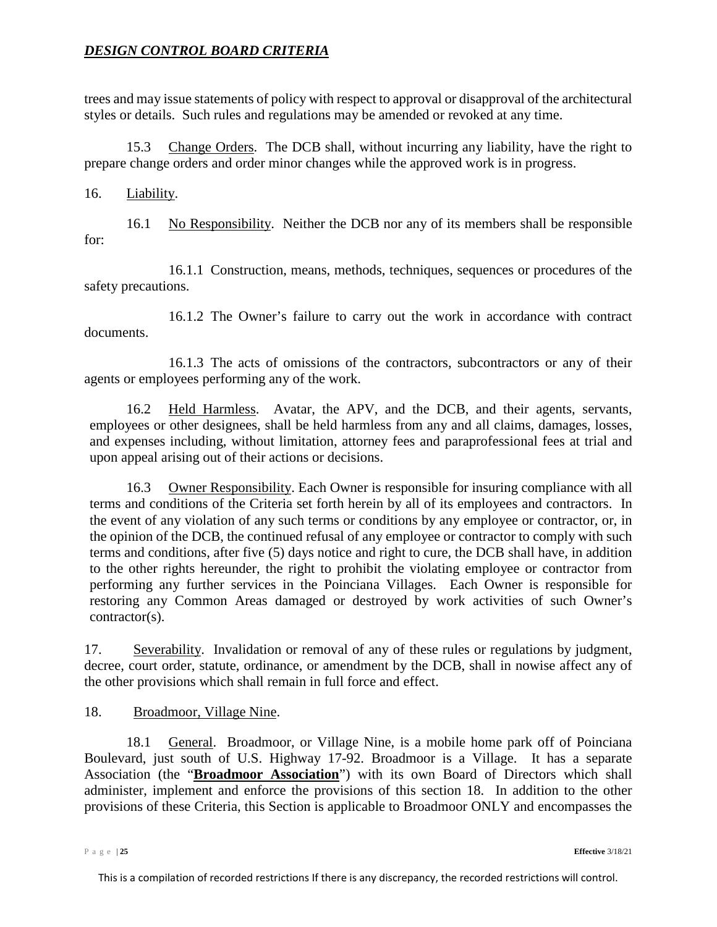trees and may issue statements of policy with respect to approval or disapproval of the architectural styles or details. Such rules and regulations may be amended or revoked at any time.

<span id="page-24-0"></span>15.3 Change Orders. The DCB shall, without incurring any liability, have the right to prepare change orders and order minor changes while the approved work is in progress.

#### <span id="page-24-1"></span>16. Liability.

<span id="page-24-2"></span>16.1 No Responsibility. Neither the DCB nor any of its members shall be responsible for:

16.1.1 Construction, means, methods, techniques, sequences or procedures of the safety precautions.

16.1.2 The Owner's failure to carry out the work in accordance with contract documents.

16.1.3 The acts of omissions of the contractors, subcontractors or any of their agents or employees performing any of the work.

<span id="page-24-3"></span>16.2 Held Harmless. Avatar, the APV, and the DCB, and their agents, servants, employees or other designees, shall be held harmless from any and all claims, damages, losses, and expenses including, without limitation, attorney fees and paraprofessional fees at trial and upon appeal arising out of their actions or decisions.

<span id="page-24-4"></span>16.3 Owner Responsibility. Each Owner is responsible for insuring compliance with all terms and conditions of the Criteria set forth herein by all of its employees and contractors. In the event of any violation of any such terms or conditions by any employee or contractor, or, in the opinion of the DCB, the continued refusal of any employee or contractor to comply with such terms and conditions, after five (5) days notice and right to cure, the DCB shall have, in addition to the other rights hereunder, the right to prohibit the violating employee or contractor from performing any further services in the Poinciana Villages. Each Owner is responsible for restoring any Common Areas damaged or destroyed by work activities of such Owner's contractor(s).

<span id="page-24-8"></span><span id="page-24-5"></span>17. Severability. Invalidation or removal of any of these rules or regulations by judgment, decree, court order, statute, ordinance, or amendment by the DCB, shall in nowise affect any of the other provisions which shall remain in full force and effect.

# <span id="page-24-9"></span><span id="page-24-6"></span>18. Broadmoor, Village Nine.

<span id="page-24-7"></span>18.1 General. Broadmoor, or Village Nine, is a mobile home park off of Poinciana Boulevard, just south of U.S. Highway 17-92. Broadmoor is a Village. It has a separate Association (the "**Broadmoor Association**") with its own Board of Directors which shall administer, implement and enforce the provisions of this section 18. In addition to the other provisions of these Criteria, this Section is applicable to Broadmoor ONLY and encompasses the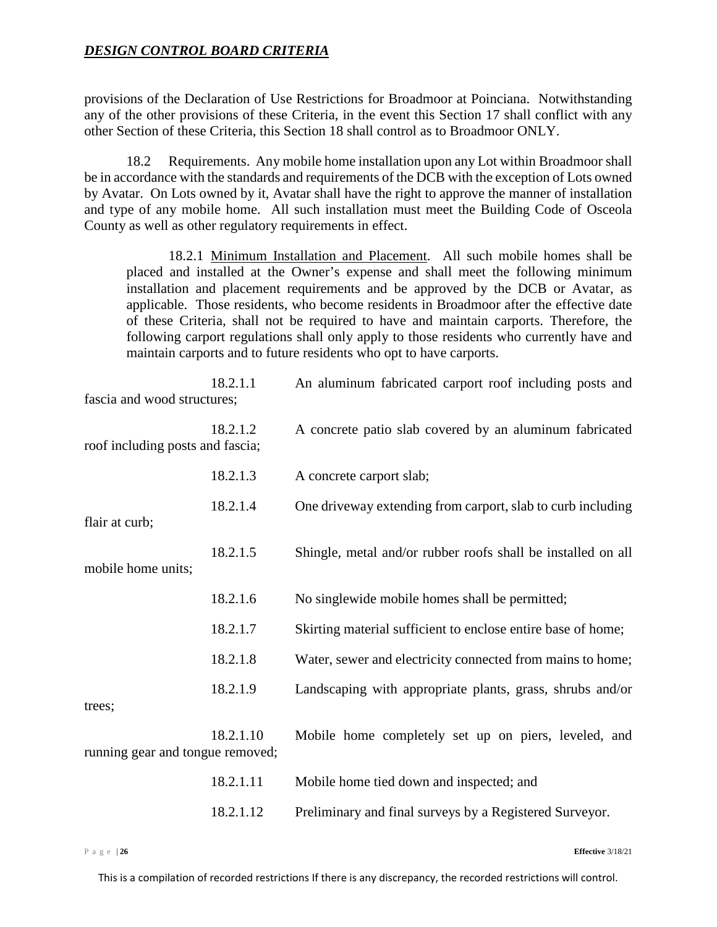provisions of the Declaration of Use Restrictions for Broadmoor at Poinciana. Notwithstanding any of the other provisions of these Criteria, in the event this Section [17](#page-24-8) shall conflict with any other Section of these Criteria, this Section [18](#page-24-9) shall control as to Broadmoor ONLY.

18.2 Requirements. Any mobile home installation upon any Lot within Broadmoor shall be in accordance with the standards and requirements of the DCB with the exception of Lots owned by Avatar. On Lots owned by it, Avatar shall have the right to approve the manner of installation and type of any mobile home. All such installation must meet the Building Code of Osceola County as well as other regulatory requirements in effect.

<span id="page-25-0"></span>18.2.1 Minimum Installation and Placement. All such mobile homes shall be placed and installed at the Owner's expense and shall meet the following minimum installation and placement requirements and be approved by the DCB or Avatar, as applicable. Those residents, who become residents in Broadmoor after the effective date of these Criteria, shall not be required to have and maintain carports. Therefore, the following carport regulations shall only apply to those residents who currently have and maintain carports and to future residents who opt to have carports.

| fascia and wood structures;      | 18.2.1.1  | An aluminum fabricated carport roof including posts and      |
|----------------------------------|-----------|--------------------------------------------------------------|
| roof including posts and fascia; | 18.2.1.2  | A concrete patio slab covered by an aluminum fabricated      |
|                                  | 18.2.1.3  | A concrete carport slab;                                     |
| flair at curb;                   | 18.2.1.4  | One driveway extending from carport, slab to curb including  |
| mobile home units;               | 18.2.1.5  | Shingle, metal and/or rubber roofs shall be installed on all |
|                                  | 18.2.1.6  | No singlewide mobile homes shall be permitted;               |
|                                  | 18.2.1.7  | Skirting material sufficient to enclose entire base of home; |
|                                  | 18.2.1.8  | Water, sewer and electricity connected from mains to home;   |
| trees;                           | 18.2.1.9  | Landscaping with appropriate plants, grass, shrubs and/or    |
| running gear and tongue removed; | 18.2.1.10 | Mobile home completely set up on piers, leveled, and         |
|                                  | 18.2.1.11 | Mobile home tied down and inspected; and                     |
|                                  | 18.2.1.12 | Preliminary and final surveys by a Registered Surveyor.      |

Page | **26 Effective** 3/18/21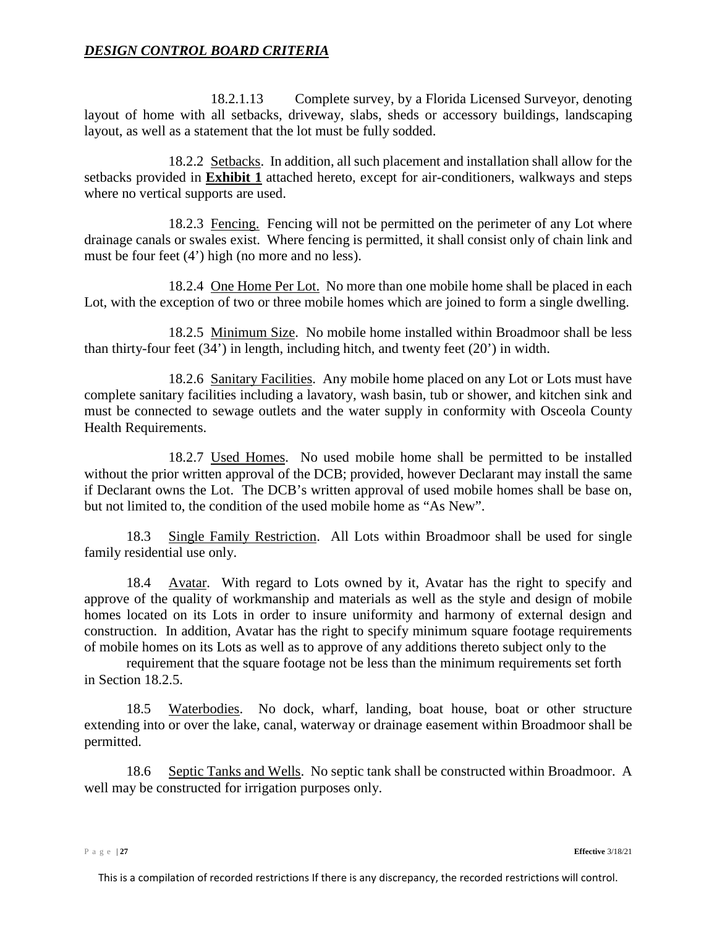18.2.1.13 Complete survey, by a Florida Licensed Surveyor, denoting layout of home with all setbacks, driveway, slabs, sheds or accessory buildings, landscaping layout, as well as a statement that the lot must be fully sodded.

<span id="page-26-0"></span>18.2.2 Setbacks. In addition, all such placement and installation shall allow for the setbacks provided in **Exhibit 1** attached hereto, except for air-conditioners, walkways and steps where no vertical supports are used.

18.2.3 Fencing. Fencing will not be permitted on the perimeter of any Lot where drainage canals or swales exist. Where fencing is permitted, it shall consist only of chain link and must be four feet (4') high (no more and no less).

18.2.4 One Home Per Lot. No more than one mobile home shall be placed in each Lot, with the exception of two or three mobile homes which are joined to form a single dwelling.

<span id="page-26-1"></span>18.2.5 Minimum Size. No mobile home installed within Broadmoor shall be less than thirty-four feet (34') in length, including hitch, and twenty feet (20') in width.

<span id="page-26-2"></span>18.2.6 Sanitary Facilities. Any mobile home placed on any Lot or Lots must have complete sanitary facilities including a lavatory, wash basin, tub or shower, and kitchen sink and must be connected to sewage outlets and the water supply in conformity with Osceola County Health Requirements.

<span id="page-26-3"></span>18.2.7 Used Homes. No used mobile home shall be permitted to be installed without the prior written approval of the DCB; provided, however Declarant may install the same if Declarant owns the Lot. The DCB's written approval of used mobile homes shall be base on, but not limited to, the condition of the used mobile home as "As New".

<span id="page-26-4"></span>18.3 Single Family Restriction. All Lots within Broadmoor shall be used for single family residential use only.

<span id="page-26-5"></span>18.4 Avatar. With regard to Lots owned by it, Avatar has the right to specify and approve of the quality of workmanship and materials as well as the style and design of mobile homes located on its Lots in order to insure uniformity and harmony of external design and construction. In addition, Avatar has the right to specify minimum square footage requirements of mobile homes on its Lots as well as to approve of any additions thereto subject only to the

requirement that the square footage not be less than the minimum requirements set forth in Section [18.2.5.](#page-26-1)

<span id="page-26-6"></span>18.5 Waterbodies. No dock, wharf, landing, boat house, boat or other structure extending into or over the lake, canal, waterway or drainage easement within Broadmoor shall be permitted.

<span id="page-26-7"></span>18.6 Septic Tanks and Wells. No septic tank shall be constructed within Broadmoor. A well may be constructed for irrigation purposes only.

Page | **27 Effective** 3/18/21